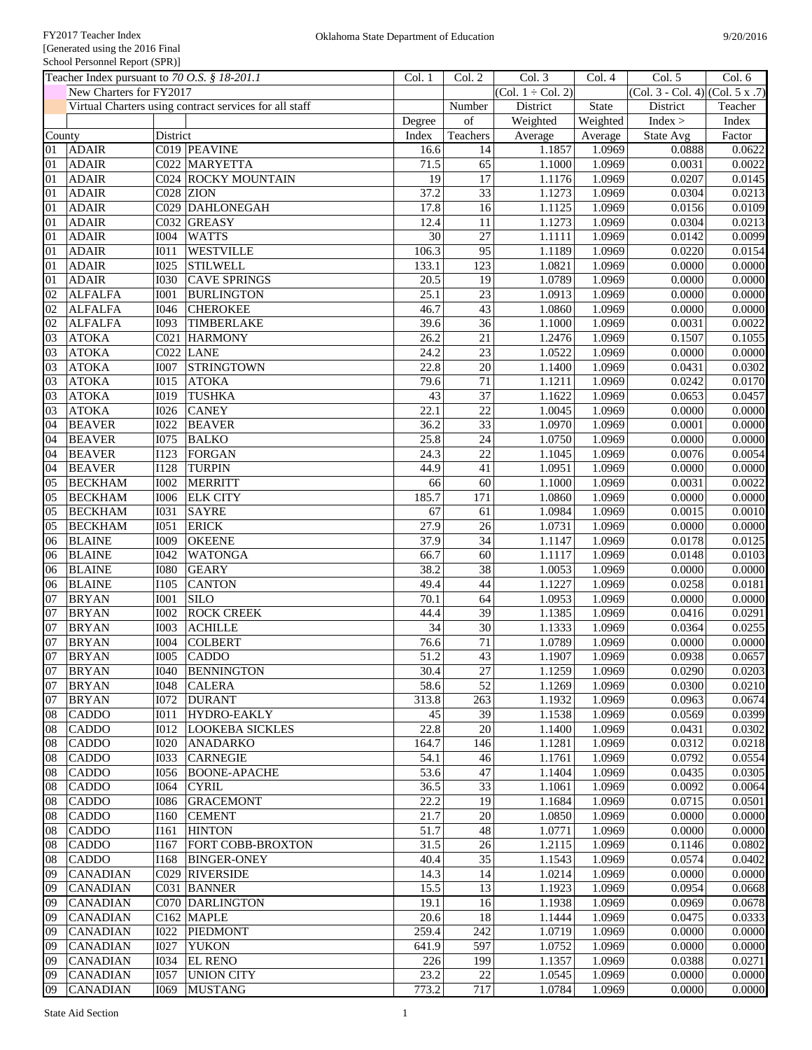|        | Teacher Index pursuant to 70 O.S. § 18-201.1 |             |                                                        | Col. 1            | Col. 2              | Col. 3              | Col. 4   | Col. 5                              | Col. 6  |
|--------|----------------------------------------------|-------------|--------------------------------------------------------|-------------------|---------------------|---------------------|----------|-------------------------------------|---------|
|        | New Charters for FY2017                      |             |                                                        |                   |                     | $(Col. 1 + Col. 2)$ |          | $(Col. 3 - Col. 4)$ $(Col. 5 x .7)$ |         |
|        |                                              |             | Virtual Charters using contract services for all staff |                   | Number              | District            | State    | District                            | Teacher |
|        |                                              |             |                                                        |                   | $% \overline{a}$ of | Weighted            |          | Index >                             | Index   |
|        |                                              |             |                                                        | Degree            |                     |                     | Weighted |                                     |         |
| County |                                              | District    |                                                        | Index             | Teachers            | Average             | Average  | State Avg                           | Factor  |
| 01     | <b>ADAIR</b>                                 |             | C019 PEAVINE                                           | 16.6              | 14                  | 1.1857              | 1.0969   | 0.0888                              | 0.0622  |
| 01     | <b>ADAIR</b>                                 |             | C022 MARYETTA                                          | 71.5              | 65                  | 1.1000              | 1.0969   | 0.0031                              | 0.0022  |
| 01     | <b>ADAIR</b>                                 |             | C024 ROCKY MOUNTAIN                                    | 19                | 17                  | 1.1176              | 1.0969   | 0.0207                              | 0.0145  |
| 01     | <b>ADAIR</b>                                 |             | C028 ZION                                              | 37.2              | 33                  | 1.1273              | 1.0969   | 0.0304                              | 0.0213  |
| 01     | <b>ADAIR</b>                                 |             | C029 DAHLONEGAH                                        | 17.8              | 16                  | 1.1125              | 1.0969   | 0.0156                              | 0.0109  |
| 01     | <b>ADAIR</b>                                 |             | C032 GREASY                                            | 12.4              | 11                  | 1.1273              | 1.0969   | 0.0304                              | 0.0213  |
| 01     | <b>ADAIR</b>                                 | <b>I004</b> | <b>WATTS</b>                                           | 30                | $\overline{27}$     | 1.1111              | 1.0969   | 0.0142                              | 0.0099  |
| 01     | <b>ADAIR</b>                                 | I011        | <b>WESTVILLE</b>                                       | 106.3             | 95                  | 1.1189              | 1.0969   | 0.0220                              | 0.0154  |
| 01     | <b>ADAIR</b>                                 | I025        | <b>STILWELL</b>                                        | 133.1             | 123                 | 1.0821              | 1.0969   | 0.0000                              | 0.0000  |
| 01     | <b>ADAIR</b>                                 | <b>I030</b> | <b>CAVE SPRINGS</b>                                    | 20.5              | 19                  | 1.0789              | 1.0969   | 0.0000                              | 0.0000  |
| 02     | <b>ALFALFA</b>                               | I001        | <b>BURLINGTON</b>                                      | 25.1              | 23                  | 1.0913              | 1.0969   | 0.0000                              | 0.0000  |
| 02     | <b>ALFALFA</b>                               | I046        | <b>CHEROKEE</b>                                        | 46.7              | 43                  | 1.0860              | 1.0969   | 0.0000                              | 0.0000  |
| 02     | <b>ALFALFA</b>                               | I093        | TIMBERLAKE                                             | 39.6              | 36                  | 1.1000              | 1.0969   | 0.0031                              | 0.0022  |
| 03     | <b>ATOKA</b>                                 | CO21        | <b>HARMONY</b>                                         | 26.2              | $\overline{21}$     | 1.2476              | 1.0969   | 0.1507                              | 0.1055  |
| 03     | <b>ATOKA</b>                                 |             | $C022$ LANE                                            | 24.2              | $\overline{23}$     | 1.0522              | 1.0969   | 0.0000                              | 0.0000  |
|        |                                              |             | <b>STRINGTOWN</b>                                      |                   | $\overline{20}$     |                     | 1.0969   | 0.0431                              |         |
| 03     | <b>ATOKA</b>                                 | <b>I007</b> |                                                        | 22.8              |                     | 1.1400              |          |                                     | 0.0302  |
| 03     | <b>ATOKA</b>                                 | I015        | <b>ATOKA</b>                                           | 79.6              | $\overline{71}$     | 1.1211              | 1.0969   | 0.0242                              | 0.0170  |
| 03     | <b>ATOKA</b>                                 | <b>I019</b> | <b>TUSHKA</b>                                          | 43                | 37                  | 1.1622              | 1.0969   | 0.0653                              | 0.0457  |
| 03     | <b>ATOKA</b>                                 | <b>I026</b> | <b>CANEY</b>                                           | 22.1              | 22                  | 1.0045              | 1.0969   | 0.0000                              | 0.0000  |
| 04     | <b>BEAVER</b>                                | <b>I022</b> | <b>BEAVER</b>                                          | 36.2              | $\overline{33}$     | 1.0970              | 1.0969   | 0.0001                              | 0.0000  |
| 04     | <b>BEAVER</b>                                | I075        | <b>BALKO</b>                                           | 25.8              | 24                  | 1.0750              | 1.0969   | 0.0000                              | 0.0000  |
| 04     | <b>BEAVER</b>                                | <b>I123</b> | <b>FORGAN</b>                                          | 24.3              | $\overline{22}$     | 1.1045              | 1.0969   | 0.0076                              | 0.0054  |
| 04     | <b>BEAVER</b>                                | <b>I128</b> | <b>TURPIN</b>                                          | 44.9              | 41                  | 1.0951              | 1.0969   | 0.0000                              | 0.0000  |
| 05     | <b>BECKHAM</b>                               | <b>I002</b> | <b>MERRITT</b>                                         | 66                | 60                  | 1.1000              | 1.0969   | 0.0031                              | 0.0022  |
| 05     | <b>BECKHAM</b>                               | <b>I006</b> | <b>ELK CITY</b>                                        | 185.7             | 171                 | 1.0860              | 1.0969   | 0.0000                              | 0.0000  |
| 05     | <b>BECKHAM</b>                               | <b>I031</b> | <b>SAYRE</b>                                           | 67                | 61                  | 1.0984              | 1.0969   | 0.0015                              | 0.0010  |
| 05     | <b>BECKHAM</b>                               | I051        | <b>ERICK</b>                                           | 27.9              | 26                  | 1.0731              | 1.0969   | 0.0000                              | 0.0000  |
| 06     | <b>BLAINE</b>                                | I009        | <b>OKEENE</b>                                          | 37.9              | 34                  | 1.1147              | 1.0969   | 0.0178                              | 0.0125  |
| 06     | <b>BLAINE</b>                                | I042        | <b>WATONGA</b>                                         | 66.7              | 60                  | 1.1117              | 1.0969   | 0.0148                              | 0.0103  |
| 06     | <b>BLAINE</b>                                | <b>I080</b> | <b>GEARY</b>                                           | 38.2              | 38                  | 1.0053              | 1.0969   | 0.0000                              | 0.0000  |
| 06     | <b>BLAINE</b>                                | <b>I105</b> | <b>CANTON</b>                                          | 49.4              | 44                  | 1.1227              | 1.0969   | 0.0258                              | 0.0181  |
| 07     | <b>BRYAN</b>                                 | I001        | <b>SILO</b>                                            | 70.1              | 64                  | 1.0953              | 1.0969   | 0.0000                              | 0.0000  |
| 07     | <b>BRYAN</b>                                 | <b>I002</b> | <b>ROCK CREEK</b>                                      | 44.4              | 39                  | 1.1385              | 1.0969   | 0.0416                              | 0.0291  |
|        |                                              |             |                                                        |                   |                     |                     |          |                                     |         |
| 07     | <b>BRYAN</b>                                 | <b>I003</b> | <b>ACHILLE</b>                                         | 34                | 30                  | 1.1333              | 1.0969   | 0.0364                              | 0.0255  |
| 07     | <b>BRYAN</b>                                 | <b>I004</b> | <b>COLBERT</b>                                         | 76.6              | $71\,$              | 1.0789              | 1.0969   | 0.0000                              | 0.0000  |
| 07     | <b>BRYAN</b>                                 | <b>I005</b> | <b>CADDO</b>                                           | 51.2              | 43                  | 1.1907              | 1.0969   | 0.0938                              | 0.0657  |
| 07     | <b>BRYAN</b>                                 | I040        | <b>BENNINGTON</b>                                      | 30.4              | 27                  | 1.1259              | 1.0969   | 0.0290                              | 0.0203  |
| 07     | <b>BRYAN</b>                                 | I048        | <b>CALERA</b>                                          | 58.6              | 52                  | 1.1269              | 1.0969   | 0.0300                              | 0.0210  |
| 07     | <b>BRYAN</b>                                 | I072        | <b>DURANT</b>                                          | 313.8             | 263                 | 1.1932              | 1.0969   | 0.0963                              | 0.0674  |
| 08     | <b>CADDO</b>                                 | <b>IO11</b> | <b>HYDRO-EAKLY</b>                                     | 45                | 39                  | 1.1538              | 1.0969   | 0.0569                              | 0.0399  |
| 08     | <b>CADDO</b>                                 | <b>I012</b> | <b>LOOKEBA SICKLES</b>                                 | 22.8              | 20                  | 1.1400              | 1.0969   | 0.0431                              | 0.0302  |
| 08     | <b>CADDO</b>                                 | <b>I020</b> | <b>ANADARKO</b>                                        | 164.7             | 146                 | 1.1281              | 1.0969   | 0.0312                              | 0.0218  |
| 08     | <b>CADDO</b>                                 | <b>I033</b> | <b>CARNEGIE</b>                                        | 54.1              | 46                  | 1.1761              | 1.0969   | 0.0792                              | 0.0554  |
| 08     | <b>CADDO</b>                                 | <b>I056</b> | <b>BOONE-APACHE</b>                                    | 53.6              | 47                  | 1.1404              | 1.0969   | 0.0435                              | 0.0305  |
| 08     | <b>CADDO</b>                                 | <b>I064</b> | <b>CYRIL</b>                                           | 36.5              | 33                  | 1.1061              | 1.0969   | 0.0092                              | 0.0064  |
| 08     | <b>CADDO</b>                                 | <b>I086</b> | <b>GRACEMONT</b>                                       | 22.2              | 19                  | 1.1684              | 1.0969   | 0.0715                              | 0.0501  |
| 08     | <b>CADDO</b>                                 | I160        | <b>CEMENT</b>                                          | $21.\overline{7}$ | 20                  | 1.0850              | 1.0969   | 0.0000                              | 0.0000  |
| 08     | <b>CADDO</b>                                 | I161        | <b>HINTON</b>                                          | 51.7              | 48                  | 1.0771              | 1.0969   | 0.0000                              | 0.0000  |
|        |                                              |             | FORT COBB-BROXTON                                      | 31.5              | 26                  |                     |          |                                     |         |
| 08     | <b>CADDO</b>                                 | I167        |                                                        |                   |                     | 1.2115              | 1.0969   | 0.1146                              | 0.0802  |
| 08     | <b>CADDO</b>                                 | I168        | <b>BINGER-ONEY</b>                                     | 40.4              | 35                  | 1.1543              | 1.0969   | 0.0574                              | 0.0402  |
| 09     | <b>CANADIAN</b>                              |             | C029 RIVERSIDE                                         | 14.3              | 14                  | 1.0214              | 1.0969   | 0.0000                              | 0.0000  |
| 09     | <b>CANADIAN</b>                              |             | C031 BANNER                                            | 15.5              | 13                  | 1.1923              | 1.0969   | 0.0954                              | 0.0668  |
| 09     | <b>CANADIAN</b>                              |             | <b>C070 DARLINGTON</b>                                 | 19.1              | 16                  | 1.1938              | 1.0969   | 0.0969                              | 0.0678  |
| 09     | <b>CANADIAN</b>                              |             | $C162$ MAPLE                                           | 20.6              | 18                  | 1.1444              | 1.0969   | 0.0475                              | 0.0333  |
| 09     | <b>CANADIAN</b>                              | <b>I022</b> | <b>PIEDMONT</b>                                        | 259.4             | 242                 | 1.0719              | 1.0969   | 0.0000                              | 0.0000  |
| 09     | <b>CANADIAN</b>                              | <b>I027</b> | <b>YUKON</b>                                           | 641.9             | 597                 | 1.0752              | 1.0969   | 0.0000                              | 0.0000  |
| 09     | <b>CANADIAN</b>                              | <b>I034</b> | <b>EL RENO</b>                                         | 226               | 199                 | 1.1357              | 1.0969   | 0.0388                              | 0.0271  |
| 09     | <b>CANADIAN</b>                              | <b>I057</b> | <b>UNION CITY</b>                                      | 23.2              | $22\,$              | 1.0545              | 1.0969   | 0.0000                              | 0.0000  |
| 09     | <b>CANADIAN</b>                              | <b>I069</b> | <b>MUSTANG</b>                                         | 773.2             | 717                 | 1.0784              | 1.0969   | 0.0000                              | 0.0000  |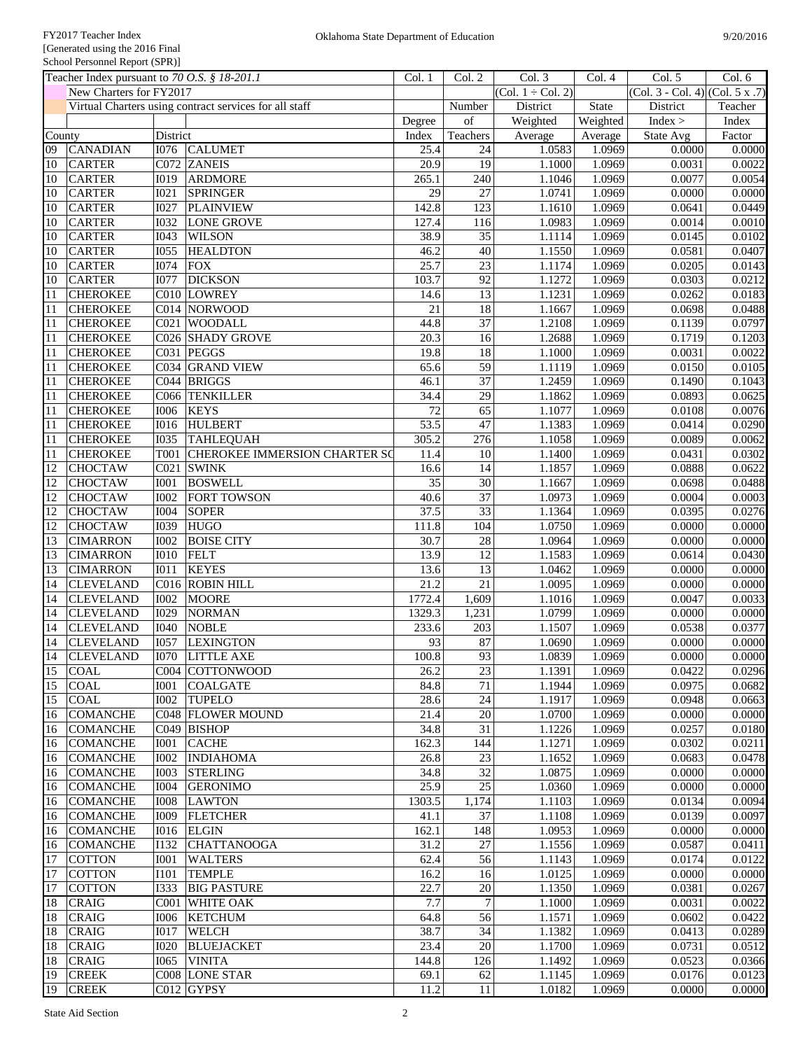|                 | Teacher Index pursuant to 70 O.S. § 18-201.1 |                  |                                                        |                 | Col. 2           | Col. 3                 | Col. 4   | Col. 5                              | Col. 6  |
|-----------------|----------------------------------------------|------------------|--------------------------------------------------------|-----------------|------------------|------------------------|----------|-------------------------------------|---------|
|                 | New Charters for FY2017                      |                  |                                                        | Col. 1          |                  | $(Col. 1 \div Col. 2)$ |          | $(Col. 3 - Col. 4)$ $(Col. 5 x .7)$ |         |
|                 |                                              |                  | Virtual Charters using contract services for all staff |                 | Number           | District               | State    | District                            | Teacher |
|                 |                                              |                  |                                                        | Degree          | of               | Weighted               | Weighted | Index >                             | Index   |
| County          |                                              | District         |                                                        | Index           | Teachers         | Average                | Average  | State Avg                           | Factor  |
| 09              | <b>CANADIAN</b>                              | <b>I076</b>      | <b>CALUMET</b>                                         | 25.4            | 24               | 1.0583                 | 1.0969   | 0.0000                              | 0.0000  |
| 10              | <b>CARTER</b>                                |                  | C072 ZANEIS                                            | 20.9            | 19               | 1.1000                 | 1.0969   | 0.0031                              | 0.0022  |
| 10              | <b>CARTER</b>                                | <b>I019</b>      | <b>ARDMORE</b>                                         | 265.1           | 240              | 1.1046                 | 1.0969   | 0.0077                              | 0.0054  |
| 10              | <b>CARTER</b>                                | <b>I021</b>      | <b>SPRINGER</b>                                        | 29              | 27               | 1.0741                 | 1.0969   | 0.0000                              | 0.0000  |
| 10              | <b>CARTER</b>                                | I027             | <b>PLAINVIEW</b>                                       | 142.8           | 123              | 1.1610                 | 1.0969   | 0.0641                              | 0.0449  |
| 10              | <b>CARTER</b>                                | <b>I032</b>      | <b>LONE GROVE</b>                                      | 127.4           | 116              | 1.0983                 | 1.0969   | 0.0014                              | 0.0010  |
| 10              | <b>CARTER</b>                                | I043             | <b>WILSON</b>                                          | 38.9            | 35               | 1.1114                 | 1.0969   | 0.0145                              | 0.0102  |
| 10              | <b>CARTER</b>                                | <b>I055</b>      | <b>HEALDTON</b>                                        | 46.2            | $\overline{40}$  | 1.1550                 | 1.0969   | 0.0581                              | 0.0407  |
| 10              | <b>CARTER</b>                                | I074             | <b>FOX</b>                                             | 25.7            | $\overline{23}$  | 1.1174                 | 1.0969   | 0.0205                              | 0.0143  |
| 10              | <b>CARTER</b>                                | <b>I077</b>      | <b>DICKSON</b>                                         | 103.7           | 92               | 1.1272                 | 1.0969   | 0.0303                              | 0.0212  |
| 11              | <b>CHEROKEE</b>                              |                  | C010 LOWREY                                            | 14.6            | 13               | 1.1231                 | 1.0969   | 0.0262                              | 0.0183  |
| 11              | <b>CHEROKEE</b>                              |                  | C014 NORWOOD                                           | 21              | 18               | 1.1667                 | 1.0969   | 0.0698                              | 0.0488  |
| 11              | <b>CHEROKEE</b>                              | C <sub>021</sub> | <b>WOODALL</b>                                         | 44.8            | 37               | 1.2108                 | 1.0969   | 0.1139                              | 0.0797  |
| 11              | <b>CHEROKEE</b>                              |                  | C026 SHADY GROVE                                       | 20.3            | 16               | 1.2688                 | 1.0969   | 0.1719                              | 0.1203  |
| 11              | <b>CHEROKEE</b>                              |                  | C031 PEGGS                                             | 19.8            | $\overline{18}$  | 1.1000                 | 1.0969   | 0.0031                              | 0.0022  |
| 11              | <b>CHEROKEE</b>                              |                  | C034 GRAND VIEW                                        | 65.6            | $\overline{59}$  | 1.1119                 | 1.0969   | 0.0150                              | 0.0105  |
| 11              | <b>CHEROKEE</b>                              |                  | C044 BRIGGS                                            | 46.1            | $\overline{37}$  | 1.2459                 | 1.0969   | 0.1490                              | 0.1043  |
| 11              | <b>CHEROKEE</b>                              |                  | C066 TENKILLER                                         | 34.4            | 29               | 1.1862                 | 1.0969   | 0.0893                              | 0.0625  |
| 11              | <b>CHEROKEE</b>                              | <b>I006</b>      | <b>KEYS</b>                                            | 72              | 65               | 1.1077                 | 1.0969   | 0.0108                              | 0.0076  |
| 11              | <b>CHEROKEE</b>                              | <b>I016</b>      | <b>HULBERT</b>                                         | 53.5            | 47               | 1.1383                 | 1.0969   | 0.0414                              | 0.0290  |
| 11              | <b>CHEROKEE</b>                              | <b>I035</b>      | <b>TAHLEQUAH</b>                                       | 305.2           | 276              | 1.1058                 | 1.0969   | 0.0089                              | 0.0062  |
| 11              | <b>CHEROKEE</b>                              | <b>T001</b>      | CHEROKEE IMMERSION CHARTER SO                          | 11.4            | 10               | 1.1400                 | 1.0969   | 0.0431                              | 0.0302  |
| 12              | <b>CHOCTAW</b>                               | CO21             | <b>SWINK</b>                                           | 16.6            | 14               | 1.1857                 | 1.0969   | 0.0888                              | 0.0622  |
| 12              | <b>CHOCTAW</b>                               | <b>I001</b>      | <b>BOSWELL</b>                                         | $\overline{35}$ | 30               | 1.1667                 | 1.0969   | 0.0698                              | 0.0488  |
| $\overline{12}$ | <b>CHOCTAW</b>                               | <b>I002</b>      | <b>FORT TOWSON</b>                                     | 40.6            | $\overline{37}$  | 1.0973                 | 1.0969   | 0.0004                              | 0.0003  |
| 12              | <b>CHOCTAW</b>                               | I004             | <b>SOPER</b>                                           | 37.5            | $\overline{33}$  | 1.1364                 | 1.0969   | 0.0395                              | 0.0276  |
| 12              | <b>CHOCTAW</b>                               | I039             | <b>HUGO</b>                                            | 111.8           | 104              | 1.0750                 | 1.0969   | 0.0000                              | 0.0000  |
| 13              | <b>CIMARRON</b>                              | <b>I002</b>      | <b>BOISE CITY</b>                                      | 30.7            | 28               | 1.0964                 | 1.0969   | 0.0000                              | 0.0000  |
| 13              | <b>CIMARRON</b>                              | <b>I010</b>      | <b>FELT</b>                                            | 13.9            | 12               | 1.1583                 | 1.0969   | 0.0614                              | 0.0430  |
| 13              | <b>CIMARRON</b>                              | <b>IO11</b>      | <b>KEYES</b>                                           | 13.6            | 13               | 1.0462                 | 1.0969   | 0.0000                              | 0.0000  |
| 14              | <b>CLEVELAND</b>                             |                  | C016 ROBIN HILL                                        | 21.2            | $\overline{21}$  | 1.0095                 | 1.0969   | 0.0000                              | 0.0000  |
| 14              | <b>CLEVELAND</b>                             | <b>I002</b>      | <b>MOORE</b>                                           | 1772.4          | 1,609            | 1.1016                 | 1.0969   | 0.0047                              | 0.0033  |
| 14              | <b>CLEVELAND</b>                             | I029             | <b>NORMAN</b>                                          | 1329.3          | 1,231            | 1.0799                 | 1.0969   | 0.0000                              | 0.0000  |
| 14              | <b>CLEVELAND</b>                             | I040             | <b>NOBLE</b>                                           | 233.6           | 203              | 1.1507                 | 1.0969   | 0.0538                              | 0.0377  |
| 14              | <b>CLEVELAND</b>                             | I057             | <b>LEXINGTON</b>                                       | 93              | 87               | 1.0690                 | 1.0969   | 0.0000                              | 0.0000  |
| 14              | <b>CLEVELAND</b>                             | <b>I070</b>      | <b>LITTLE AXE</b>                                      | 100.8           | 93               | 1.0839                 | 1.0969   | 0.0000                              | 0.0000  |
| 15              | <b>COAL</b>                                  |                  | C004 COTTONWOOD                                        | 26.2            | 23               | 1.1391                 | 1.0969   | 0.0422                              | 0.0296  |
| 15              | <b>COAL</b>                                  | <b>I001</b>      | <b>COALGATE</b>                                        | 84.8            | 71               | 1.1944                 | 1.0969   | 0.0975                              | 0.0682  |
| 15              | <b>COAL</b>                                  | <b>IOO2</b>      | <b>TUPELO</b>                                          | 28.6            | 24               | 1.1917                 | 1.0969   | 0.0948                              | 0.0663  |
| 16              | <b>COMANCHE</b>                              |                  | C048 FLOWER MOUND                                      | 21.4            | $20\,$           | 1.0700                 | 1.0969   | 0.0000                              | 0.0000  |
| 16              | <b>COMANCHE</b>                              |                  | C049 BISHOP                                            | 34.8            | 31               | 1.1226                 | 1.0969   | 0.0257                              | 0.0180  |
| 16              | <b>COMANCHE</b>                              | I001             | <b>CACHE</b>                                           | 162.3           | 144              | 1.1271                 | 1.0969   | 0.0302                              | 0.0211  |
| 16              | <b>COMANCHE</b>                              | <b>I002</b>      | <b>INDIAHOMA</b>                                       | 26.8            | 23               | 1.1652                 | 1.0969   | 0.0683                              | 0.0478  |
| 16              | <b>COMANCHE</b>                              | <b>I003</b>      | <b>STERLING</b>                                        | 34.8            | 32               | 1.0875                 | 1.0969   | 0.0000                              | 0.0000  |
| 16              | <b>COMANCHE</b>                              | I004             | <b>GERONIMO</b>                                        | 25.9            | 25               | 1.0360                 | 1.0969   | 0.0000                              | 0.0000  |
| 16              | <b>COMANCHE</b>                              | <b>IOO8</b>      | <b>LAWTON</b>                                          | 1303.5          | 1,174            | 1.1103                 | 1.0969   | 0.0134                              | 0.0094  |
| 16              | <b>COMANCHE</b>                              | <b>I009</b>      | <b>FLETCHER</b>                                        | 41.1            | 37               | 1.1108                 | 1.0969   | 0.0139                              | 0.0097  |
| 16              | <b>COMANCHE</b>                              | <b>I016</b>      | <b>ELGIN</b>                                           | 162.1           | 148              | 1.0953                 | 1.0969   | 0.0000                              | 0.0000  |
| 16              | <b>COMANCHE</b>                              | I132             | <b>CHATTANOOGA</b>                                     | 31.2            | 27               | 1.1556                 | 1.0969   | 0.0587                              | 0.0411  |
| 17              | <b>COTTON</b>                                | <b>I001</b>      | <b>WALTERS</b>                                         | 62.4            | 56               | 1.1143                 | 1.0969   | 0.0174                              | 0.0122  |
| 17              | <b>COTTON</b>                                | <b>I101</b>      | <b>TEMPLE</b>                                          | 16.2            | 16               | 1.0125                 | 1.0969   | 0.0000                              | 0.0000  |
| 17              | <b>COTTON</b>                                | <b>I333</b>      | <b>BIG PASTURE</b>                                     | 22.7            | 20               | 1.1350                 | 1.0969   | 0.0381                              | 0.0267  |
| 18              | <b>CRAIG</b>                                 | C001             | <b>WHITE OAK</b>                                       | 7.7             | $\boldsymbol{7}$ | 1.1000                 | 1.0969   | 0.0031                              | 0.0022  |
| 18              | <b>CRAIG</b>                                 | <b>I006</b>      | <b>KETCHUM</b>                                         | 64.8            | 56               | 1.1571                 | 1.0969   | 0.0602                              | 0.0422  |
| 18              | <b>CRAIG</b>                                 | <b>I017</b>      | <b>WELCH</b>                                           | 38.7            | 34               | 1.1382                 | 1.0969   | 0.0413                              | 0.0289  |
| 18              | <b>CRAIG</b>                                 | <b>I020</b>      | <b>BLUEJACKET</b>                                      | 23.4            | $20\,$           | 1.1700                 | 1.0969   | 0.0731                              | 0.0512  |
| 18              | <b>CRAIG</b>                                 | <b>I065</b>      | <b>VINITA</b>                                          | 144.8           | 126              | 1.1492                 | 1.0969   | 0.0523                              | 0.0366  |
| 19              | <b>CREEK</b>                                 |                  | C008 LONE STAR                                         | 69.1            | 62               | 1.1145                 | 1.0969   | 0.0176                              | 0.0123  |
| 19              | <b>CREEK</b>                                 |                  | $C012$ GYPSY                                           | 11.2            | 11               | 1.0182                 | 1.0969   | 0.0000                              | 0.0000  |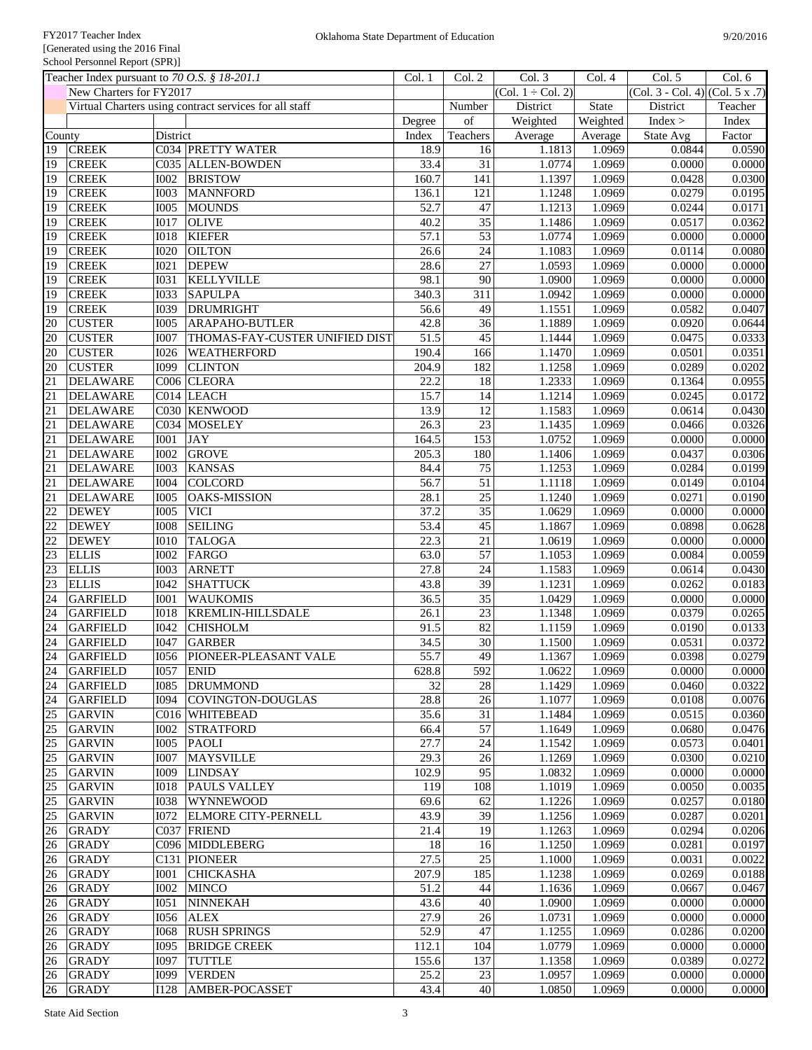|          | Teacher Index pursuant to 70 O.S. § 18-201.1 |             | Col. 1                                                 | Col. 2 | Col. 3          | Col. 4              | Col. 5       | Col. 6                              |                  |
|----------|----------------------------------------------|-------------|--------------------------------------------------------|--------|-----------------|---------------------|--------------|-------------------------------------|------------------|
|          | New Charters for FY2017                      |             |                                                        |        |                 | $(Col. 1 + Col. 2)$ |              | $(Col. 3 - Col. 4)$ $(Col. 5 x .7)$ |                  |
|          |                                              |             | Virtual Charters using contract services for all staff |        | Number          | District            | <b>State</b> | District                            | Teacher          |
|          |                                              |             |                                                        | Degree | of              | Weighted            | Weighted     | Index >                             | Index            |
| County   |                                              | District    |                                                        | Index  | Teachers        | Average             | Average      | State Avg                           | Factor           |
| 19       | <b>CREEK</b>                                 |             | <b>C034 PRETTY WATER</b>                               | 18.9   | 16              | 1.1813              | 1.0969       | 0.0844                              | 0.0590           |
| 19       | <b>CREEK</b>                                 |             | C035 ALLEN-BOWDEN                                      | 33.4   | $\overline{31}$ | 1.0774              | 1.0969       | 0.0000                              | 0.0000           |
| 19       | <b>CREEK</b>                                 | <b>I002</b> | <b>BRISTOW</b>                                         | 160.7  | 141             | 1.1397              | 1.0969       | 0.0428                              | 0.0300           |
| 19       | <b>CREEK</b>                                 | <b>I003</b> | <b>MANNFORD</b>                                        | 136.1  | 121             | 1.1248              | 1.0969       | 0.0279                              | 0.0195           |
|          |                                              |             |                                                        | 52.7   | 47              |                     |              | 0.0244                              |                  |
| 19<br>19 | <b>CREEK</b>                                 | <b>I005</b> | <b>MOUNDS</b>                                          |        |                 | 1.1213              | 1.0969       |                                     | 0.0171<br>0.0362 |
|          | <b>CREEK</b>                                 | <b>I017</b> | <b>OLIVE</b>                                           | 40.2   | $\overline{35}$ | 1.1486              | 1.0969       | 0.0517                              |                  |
| 19       | <b>CREEK</b>                                 | <b>IO18</b> | <b>KIEFER</b>                                          | 57.1   | 53              | 1.0774              | 1.0969       | 0.0000                              | 0.0000           |
| 19       | <b>CREEK</b>                                 | <b>I020</b> | <b>OILTON</b>                                          | 26.6   | $\overline{24}$ | 1.1083              | 1.0969       | 0.0114                              | 0.0080           |
| 19       | <b>CREEK</b>                                 | I021        | <b>DEPEW</b>                                           | 28.6   | $\overline{27}$ | 1.0593              | 1.0969       | 0.0000                              | 0.0000           |
| 19       | <b>CREEK</b>                                 | <b>I031</b> | <b>KELLYVILLE</b>                                      | 98.1   | 90              | 1.0900              | 1.0969       | 0.0000                              | 0.0000           |
| 19       | <b>CREEK</b>                                 | <b>I033</b> | <b>SAPULPA</b>                                         | 340.3  | 311             | 1.0942              | 1.0969       | 0.0000                              | 0.0000           |
| 19       | <b>CREEK</b>                                 | I039        | <b>DRUMRIGHT</b>                                       | 56.6   | 49              | 1.1551              | 1.0969       | 0.0582                              | 0.0407           |
| 20       | <b>CUSTER</b>                                | <b>I005</b> | <b>ARAPAHO-BUTLER</b>                                  | 42.8   | 36              | 1.1889              | 1.0969       | 0.0920                              | 0.0644           |
| 20       | <b>CUSTER</b>                                | <b>I007</b> | THOMAS-FAY-CUSTER UNIFIED DIST                         | 51.5   | $\overline{45}$ | 1.1444              | 1.0969       | 0.0475                              | 0.0333           |
| 20       | <b>CUSTER</b>                                | <b>I026</b> | <b>WEATHERFORD</b>                                     | 190.4  | 166             | 1.1470              | 1.0969       | 0.0501                              | 0.0351           |
| 20       | <b>CUSTER</b>                                | I099        | <b>CLINTON</b>                                         | 204.9  | 182             | 1.1258              | 1.0969       | 0.0289                              | 0.0202           |
| 21       | <b>DELAWARE</b>                              | C006        | <b>CLEORA</b>                                          | 22.2   | $\overline{18}$ | 1.2333              | 1.0969       | 0.1364                              | 0.0955           |
| 21       | <b>DELAWARE</b>                              |             | C014 LEACH                                             | 15.7   | 14              | 1.1214              | 1.0969       | 0.0245                              | 0.0172           |
| 21       | <b>DELAWARE</b>                              |             | C030 KENWOOD                                           | 13.9   | 12              | 1.1583              | 1.0969       | 0.0614                              | 0.0430           |
| 21       | <b>DELAWARE</b>                              |             | C034 MOSELEY                                           | 26.3   | 23              | 1.1435              | 1.0969       | 0.0466                              | 0.0326           |
| 21       | <b>DELAWARE</b>                              | <b>I001</b> | <b>JAY</b>                                             | 164.5  | 153             | 1.0752              | 1.0969       | 0.0000                              | 0.0000           |
| 21       | <b>DELAWARE</b>                              | <b>I002</b> | <b>GROVE</b>                                           | 205.3  | 180             | 1.1406              | 1.0969       | 0.0437                              | 0.0306           |
| 21       | <b>DELAWARE</b>                              | <b>I003</b> | <b>KANSAS</b>                                          | 84.4   | $\overline{75}$ | 1.1253              | 1.0969       | 0.0284                              | 0.0199           |
| 21       | <b>DELAWARE</b>                              | I004        | <b>COLCORD</b>                                         | 56.7   | 51              | 1.1118              | 1.0969       | 0.0149                              | 0.0104           |
| 21       | <b>DELAWARE</b>                              | <b>I005</b> | <b>OAKS-MISSION</b>                                    | 28.1   | $\overline{25}$ | 1.1240              | 1.0969       | 0.0271                              | 0.0190           |
| 22       | <b>DEWEY</b>                                 | <b>I005</b> | <b>VICI</b>                                            | 37.2   | $\overline{35}$ | 1.0629              | 1.0969       | 0.0000                              | 0.0000           |
|          |                                              | <b>I008</b> |                                                        |        | 45              |                     | 1.0969       | 0.0898                              |                  |
| 22       | <b>DEWEY</b>                                 |             | <b>SEILING</b>                                         | 53.4   |                 | 1.1867              |              |                                     | 0.0628           |
| 22       | <b>DEWEY</b>                                 | <b>I010</b> | <b>TALOGA</b>                                          | 22.3   | 21              | 1.0619              | 1.0969       | 0.0000                              | 0.0000           |
| 23       | <b>ELLIS</b>                                 | <b>I002</b> | <b>FARGO</b>                                           | 63.0   | 57              | 1.1053              | 1.0969       | 0.0084                              | 0.0059           |
| 23       | <b>ELLIS</b>                                 | <b>I003</b> | <b>ARNETT</b>                                          | 27.8   | 24              | 1.1583              | 1.0969       | 0.0614                              | 0.0430           |
| 23       | <b>ELLIS</b>                                 | I042        | <b>SHATTUCK</b>                                        | 43.8   | 39              | 1.1231              | 1.0969       | 0.0262                              | 0.0183           |
| 24       | <b>GARFIELD</b>                              | <b>I001</b> | <b>WAUKOMIS</b>                                        | 36.5   | $\overline{35}$ | 1.0429              | 1.0969       | 0.0000                              | 0.0000           |
| 24       | <b>GARFIELD</b>                              | <b>I018</b> | <b>KREMLIN-HILLSDALE</b>                               | 26.1   | 23              | 1.1348              | 1.0969       | 0.0379                              | 0.0265           |
| 24       | <b>GARFIELD</b>                              | I042        | <b>CHISHOLM</b>                                        | 91.5   | 82              | 1.1159              | 1.0969       | 0.0190                              | 0.0133           |
| 24       | <b>GARFIELD</b>                              | I047        | <b>GARBER</b>                                          | 34.5   | 30              | 1.1500              | 1.0969       | 0.0531                              | 0.0372           |
| 24       | <b>GARFIELD</b>                              | <b>I056</b> | PIONEER-PLEASANT VALE                                  | 55.7   | $\overline{49}$ | 1.1367              | 1.0969       | 0.0398                              | 0.0279           |
| 24       | <b>GARFIELD</b>                              | <b>I057</b> | <b>ENID</b>                                            | 628.8  | 592             | 1.0622              | 1.0969       | 0.0000                              | 0.0000           |
| 24       | <b>GARFIELD</b>                              | <b>I085</b> | <b>DRUMMOND</b>                                        | 32     | 28              | 1.1429              | 1.0969       | 0.0460                              | 0.0322           |
| 24       | <b>GARFIELD</b>                              | <b>I094</b> | COVINGTON-DOUGLAS                                      | 28.8   | 26              | 1.1077              | 1.0969       | 0.0108                              | 0.0076           |
| 25       | <b>GARVIN</b>                                |             | C016 WHITEBEAD                                         | 35.6   | 31              | 1.1484              | 1.0969       | 0.0515                              | 0.0360           |
| 25       | <b>GARVIN</b>                                | <b>I002</b> | <b>STRATFORD</b>                                       | 66.4   | 57              | 1.1649              | 1.0969       | 0.0680                              | 0.0476           |
| 25       | <b>GARVIN</b>                                | <b>I005</b> | <b>PAOLI</b>                                           | 27.7   | 24              | 1.1542              | 1.0969       | 0.0573                              | 0.0401           |
| 25       | <b>GARVIN</b>                                | <b>I007</b> | <b>MAYSVILLE</b>                                       | 29.3   | 26              | 1.1269              | 1.0969       | 0.0300                              | 0.0210           |
| 25       | <b>GARVIN</b>                                | <b>I009</b> | <b>LINDSAY</b>                                         | 102.9  | 95              | 1.0832              | 1.0969       | 0.0000                              | 0.0000           |
| 25       | <b>GARVIN</b>                                | <b>IO18</b> | <b>PAULS VALLEY</b>                                    | 119    | 108             | 1.1019              | 1.0969       | 0.0050                              | 0.0035           |
|          |                                              |             |                                                        |        |                 |                     |              |                                     |                  |
| 25       | <b>GARVIN</b>                                | <b>I038</b> | <b>WYNNEWOOD</b>                                       | 69.6   | 62              | 1.1226              | 1.0969       | 0.0257                              | 0.0180           |
| 25       | <b>GARVIN</b>                                | I072        | <b>ELMORE CITY-PERNELL</b>                             | 43.9   | 39              | 1.1256              | 1.0969       | 0.0287                              | 0.0201           |
| 26       | <b>GRADY</b>                                 |             | C037 FRIEND                                            | 21.4   | $\overline{19}$ | 1.1263              | 1.0969       | 0.0294                              | 0.0206           |
| 26       | <b>GRADY</b>                                 |             | C096 MIDDLEBERG                                        | 18     | 16              | 1.1250              | 1.0969       | 0.0281                              | 0.0197           |
| 26       | <b>GRADY</b>                                 |             | C131 PIONEER                                           | 27.5   | 25              | 1.1000              | 1.0969       | 0.0031                              | 0.0022           |
| 26       | <b>GRADY</b>                                 | <b>I001</b> | <b>CHICKASHA</b>                                       | 207.9  | 185             | 1.1238              | 1.0969       | 0.0269                              | 0.0188           |
| 26       | <b>GRADY</b>                                 | <b>I002</b> | <b>MINCO</b>                                           | 51.2   | 44              | 1.1636              | 1.0969       | 0.0667                              | 0.0467           |
| 26       | <b>GRADY</b>                                 | I051        | <b>NINNEKAH</b>                                        | 43.6   | 40              | 1.0900              | 1.0969       | 0.0000                              | 0.0000           |
| 26       | <b>GRADY</b>                                 | <b>I056</b> | <b>ALEX</b>                                            | 27.9   | 26              | 1.0731              | 1.0969       | 0.0000                              | 0.0000           |
| 26       | <b>GRADY</b>                                 | <b>I068</b> | <b>RUSH SPRINGS</b>                                    | 52.9   | $\overline{47}$ | 1.1255              | 1.0969       | 0.0286                              | 0.0200           |
| 26       | <b>GRADY</b>                                 | <b>I095</b> | <b>BRIDGE CREEK</b>                                    | 112.1  | 104             | 1.0779              | 1.0969       | 0.0000                              | 0.0000           |
| 26       | <b>GRADY</b>                                 | <b>I097</b> | <b>TUTTLE</b>                                          | 155.6  | 137             | 1.1358              | 1.0969       | 0.0389                              | 0.0272           |
| 26       | <b>GRADY</b>                                 | I099        | <b>VERDEN</b>                                          | 25.2   | 23              | 1.0957              | 1.0969       | 0.0000                              | 0.0000           |
| 26       | <b>GRADY</b>                                 | <b>I128</b> | AMBER-POCASSET                                         | 43.4   | 40              | 1.0850              | 1.0969       | 0.0000                              | 0.0000           |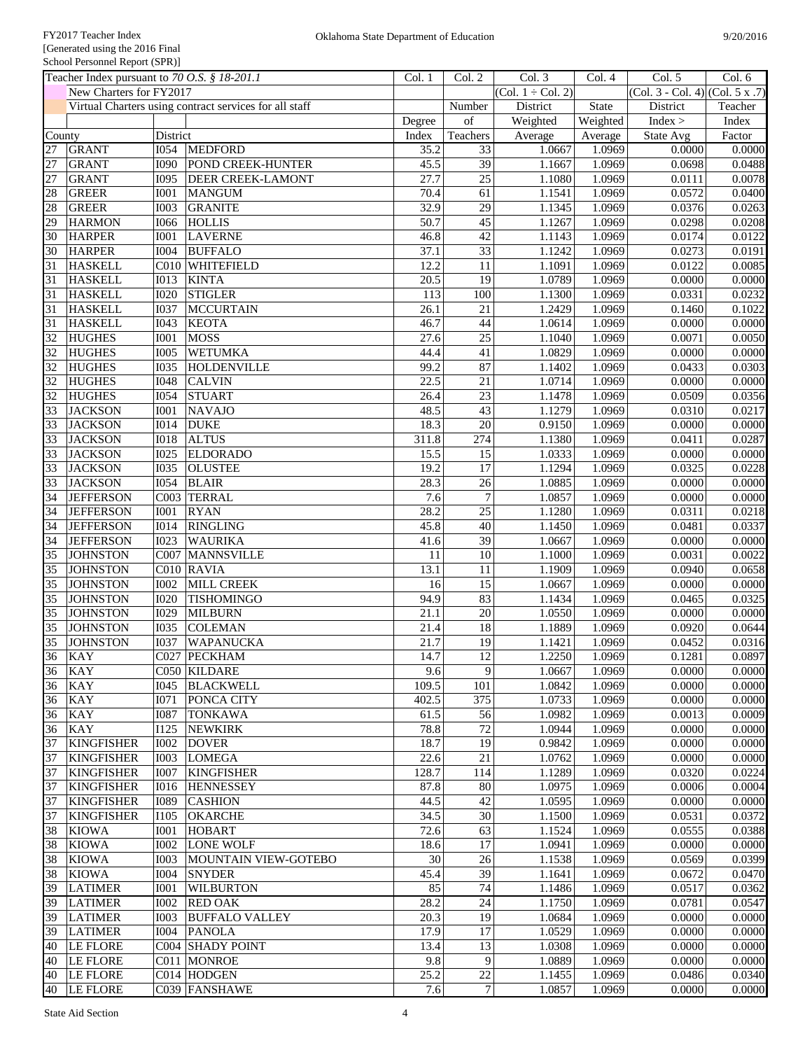|                 | Teacher Index pursuant to 70 O.S. § 18-201.1 |                            |                                                        | Col. 1            | Col. 2           | Col. 3                 | Col. 4           | Col. 5                              | Col. 6              |
|-----------------|----------------------------------------------|----------------------------|--------------------------------------------------------|-------------------|------------------|------------------------|------------------|-------------------------------------|---------------------|
|                 | New Charters for FY2017                      |                            |                                                        |                   |                  | $(Col. 1 \div Col. 2)$ |                  | $(Col. 3 - Col. 4)$ $(Col. 5 x .7)$ |                     |
|                 |                                              |                            | Virtual Charters using contract services for all staff |                   | Number           | District               | State            | District                            | Teacher             |
|                 |                                              |                            |                                                        | Degree            | of               | Weighted               | Weighted         | Index >                             | Index               |
| County          |                                              | District                   |                                                        | Index             | Teachers         | Average                | Average          | State Avg                           | Factor              |
| 27              | <b>GRANT</b>                                 | <b>I054</b>                | <b>MEDFORD</b>                                         | 35.2              | 33               | 1.0667                 | 1.0969           | 0.0000                              | 0.0000              |
| 27              | <b>GRANT</b>                                 | <b>I090</b>                | POND CREEK-HUNTER                                      | 45.5              | 39               | 1.1667                 | 1.0969           | 0.0698                              | 0.0488              |
| 27              | <b>GRANT</b>                                 | I095                       | <b>DEER CREEK-LAMONT</b>                               | 27.7              | $\overline{25}$  | 1.1080                 | 1.0969           | 0.0111                              | 0.0078              |
| 28              | <b>GREER</b>                                 | <b>I001</b>                | <b>MANGUM</b>                                          | 70.4              | 61               | 1.1541                 | 1.0969           | 0.0572                              | 0.0400              |
| 28              | <b>GREER</b>                                 | <b>I003</b>                | <b>GRANITE</b>                                         | 32.9              | $\overline{29}$  | 1.1345                 | 1.0969           | 0.0376                              | 0.0263              |
| 29              | <b>HARMON</b>                                | <b>I066</b>                | <b>HOLLIS</b>                                          | 50.7              | 45               | 1.1267                 | 1.0969           | 0.0298                              | 0.0208              |
| 30              | <b>HARPER</b>                                | <b>I001</b>                | <b>LAVERNE</b>                                         | 46.8              | $\overline{42}$  | 1.1143                 | 1.0969           | 0.0174                              | 0.0122              |
| 30              | <b>HARPER</b>                                | <b>I004</b>                | <b>BUFFALO</b>                                         | 37.1              | $\overline{33}$  | 1.1242                 | 1.0969           | 0.0273                              | $\overline{0.0}191$ |
| 31              | <b>HASKELL</b>                               |                            | C010 WHITEFIELD                                        | 12.2              | $\overline{11}$  | 1.1091                 | 1.0969           | 0.0122                              | 0.0085              |
| 31              | <b>HASKELL</b>                               | <b>I013</b>                | <b>KINTA</b>                                           | 20.5              | $\overline{19}$  | 1.0789                 | 1.0969           | 0.0000                              | 0.0000              |
| 31              | <b>HASKELL</b>                               | <b>I020</b>                | <b>STIGLER</b>                                         | 113               | 100              | 1.1300                 | 1.0969           | 0.0331                              | 0.0232              |
| 31              | <b>HASKELL</b>                               | <b>I037</b>                | <b>MCCURTAIN</b>                                       | 26.1              | $21\,$           | 1.2429                 | 1.0969           | 0.1460                              | 0.1022              |
| 31              | <b>HASKELL</b>                               | I043                       | <b>KEOTA</b>                                           | 46.7              | 44               | 1.0614                 | 1.0969           | 0.0000                              | 0.0000              |
| 32              | <b>HUGHES</b>                                | I001                       | <b>MOSS</b>                                            | 27.6              | $\overline{25}$  | 1.1040                 | 1.0969           | 0.0071                              | 0.0050              |
| 32              | <b>HUGHES</b>                                | <b>I005</b>                | <b>WETUMKA</b>                                         | 44.4              | $\overline{41}$  | 1.0829                 | 1.0969           | 0.0000                              | 0.0000              |
| $\overline{32}$ | <b>HUGHES</b>                                | <b>I035</b>                | <b>HOLDENVILLE</b>                                     | 99.2              | 87               | 1.1402                 | 1.0969           | 0.0433                              | 0.0303              |
| 32              | <b>HUGHES</b>                                | I048                       | <b>CALVIN</b>                                          | 22.5              | $\overline{21}$  | 1.0714                 | 1.0969           | 0.0000                              | 0.0000              |
| 32              | <b>HUGHES</b>                                | <b>I054</b>                | <b>STUART</b>                                          | 26.4              | 23               | 1.1478                 | 1.0969           | 0.0509                              | 0.0356              |
| 33              | <b>JACKSON</b>                               | <b>I001</b>                | <b>NAVAJO</b>                                          | 48.5              | 43               | 1.1279                 | 1.0969           | 0.0310                              | 0.0217              |
| 33              | <b>JACKSON</b>                               | <b>IO14</b>                | <b>DUKE</b>                                            | 18.3              | $\overline{20}$  | 0.9150                 | 1.0969           | 0.0000                              | 0.0000              |
| 33              | <b>JACKSON</b>                               | $\overline{1018}$          | <b>ALTUS</b>                                           | 311.8             | 274              | 1.1380                 | 1.0969           | 0.0411                              | 0.0287              |
| 33              | <b>JACKSON</b>                               | I025                       | <b>ELDORADO</b>                                        | 15.5              | $\overline{15}$  | 1.0333                 | 1.0969           | 0.0000                              | 0.0000              |
| 33              | <b>JACKSON</b>                               | <b>I035</b>                | <b>OLUSTEE</b>                                         | 19.2              | $\overline{17}$  | 1.1294                 | 1.0969           | 0.0325                              | 0.0228              |
| 33              | <b>JACKSON</b>                               | <b>I054</b>                | <b>BLAIR</b>                                           | 28.3              | $\overline{26}$  | 1.0885                 | 1.0969           | 0.0000                              | 0.0000              |
| 34              | <b>JEFFERSON</b>                             | C003                       | TERRAL                                                 | 7.6               | $\overline{7}$   | 1.0857                 | 1.0969           | 0.0000                              | 0.0000              |
| 34              | <b>JEFFERSON</b>                             | I001                       | <b>RYAN</b>                                            | 28.2              | $\overline{25}$  | 1.1280                 | 1.0969           | 0.0311                              | 0.0218              |
| 34              | <b>JEFFERSON</b>                             | <b>I014</b>                | RINGLING                                               | 45.8              | $\overline{40}$  | 1.1450                 | 1.0969           | 0.0481                              | 0.0337              |
| 34              | <b>JEFFERSON</b>                             | <b>I023</b>                | <b>WAURIKA</b>                                         | 41.6              | $\overline{39}$  | 1.0667                 | 1.0969           | 0.0000                              | 0.0000              |
|                 |                                              |                            |                                                        |                   |                  |                        |                  |                                     |                     |
| 35              | <b>JOHNSTON</b><br><b>JOHNSTON</b>           |                            | C007 MANNSVILLE                                        | 11<br>13.1        | 10<br>$11\,$     | 1.1000<br>1.1909       | 1.0969<br>1.0969 | 0.0031<br>0.0940                    | 0.0022              |
| 35<br>35        | <b>JOHNSTON</b>                              | <b>I002</b>                | C010 RAVIA<br><b>MILL CREEK</b>                        | 16                | $\overline{15}$  | 1.0667                 | 1.0969           | 0.0000                              | 0.0658<br>0.0000    |
| 35              | <b>JOHNSTON</b>                              | <b>I020</b>                | <b>TISHOMINGO</b>                                      | 94.9              | 83               | 1.1434                 | 1.0969           | 0.0465                              | 0.0325              |
| 35              | <b>JOHNSTON</b>                              | I029                       | <b>MILBURN</b>                                         | $\overline{21.1}$ | $\overline{20}$  | 1.0550                 | 1.0969           | 0.0000                              | 0.0000              |
|                 | <b>JOHNSTON</b>                              |                            |                                                        |                   | 18               | 1.1889                 | 1.0969           |                                     |                     |
| 35<br>35        | <b>JOHNSTON</b>                              | <b>I035</b><br><b>I037</b> | <b>COLEMAN</b><br><b>WAPANUCKA</b>                     | 21.4<br>21.7      | 19               | 1.1421                 | 1.0969           | 0.0920<br>0.0452                    | 0.0644<br>0.0316    |
| 36              | <b>KAY</b>                                   |                            | C027 PECKHAM                                           | 14.7              | 12               | 1.2250                 | 1.0969           |                                     | 0.0897              |
|                 |                                              |                            |                                                        |                   | $\overline{9}$   |                        |                  | 0.1281<br>0.0000                    |                     |
| 36<br>36        | <b>KAY</b><br><b>KAY</b>                     | I045                       | C050 KILDARE<br><b>BLACKWELL</b>                       | 9.6<br>109.5      | 101              | 1.0667<br>1.0842       | 1.0969<br>1.0969 | 0.0000                              | 0.0000<br>0.0000    |
| 36              | <b>KAY</b>                                   | I071                       | PONCA CITY                                             | 402.5             | 375              | 1.0733                 | 1.0969           | 0.0000                              | 0.0000              |
| 36              | <b>KAY</b>                                   | <b>I087</b>                | <b>TONKAWA</b>                                         | 61.5              | 56               | 1.0982                 | 1.0969           | 0.0013                              | 0.0009              |
| 36              | <b>KAY</b>                                   |                            | <b>NEWKIRK</b>                                         | 78.8              | 72               | 1.0944                 | 1.0969           | 0.0000                              | 0.0000              |
| 37              | <b>KINGFISHER</b>                            | I125<br><b>I002</b>        |                                                        | 18.7              | 19               | 0.9842                 | 1.0969           | 0.0000                              | 0.0000              |
|                 |                                              |                            | <b>DOVER</b>                                           |                   | 21               |                        |                  |                                     |                     |
| 37              | <b>KINGFISHER</b>                            | <b>I003</b>                | <b>LOMEGA</b>                                          | 22.6              | 114              | 1.0762                 | 1.0969           | 0.0000                              | 0.0000              |
| 37              | <b>KINGFISHER</b>                            | <b>I007</b>                | <b>KINGFISHER</b>                                      | 128.7             |                  | 1.1289                 | 1.0969           | 0.0320                              | 0.0224              |
| 37              | <b>KINGFISHER</b>                            | <b>I016</b>                | <b>HENNESSEY</b>                                       | 87.8              | 80               | 1.0975                 | 1.0969           | 0.0006                              | 0.0004              |
| 37              | <b>KINGFISHER</b>                            | I089                       | <b>CASHION</b>                                         | 44.5              | 42               | 1.0595                 | 1.0969           | 0.0000                              | 0.0000              |
| 37              | <b>KINGFISHER</b>                            | <b>I105</b>                | <b>OKARCHE</b>                                         | 34.5              | $\overline{30}$  | 1.1500                 | 1.0969           | 0.0531                              | 0.0372              |
| 38              | <b>KIOWA</b>                                 | <b>I001</b>                | <b>HOBART</b>                                          | 72.6              | 63               | 1.1524                 | 1.0969           | 0.0555                              | 0.0388              |
| 38              | <b>KIOWA</b>                                 | <b>I002</b>                | <b>LONE WOLF</b>                                       | 18.6              | $\overline{17}$  | 1.0941                 | 1.0969           | 0.0000                              | 0.0000              |
| 38              | <b>KIOWA</b>                                 | <b>I003</b>                | MOUNTAIN VIEW-GOTEBO                                   | $30\,$            | 26               | 1.1538                 | 1.0969           | 0.0569                              | 0.0399              |
| 38              | <b>KIOWA</b>                                 | <b>I004</b>                | <b>SNYDER</b>                                          | 45.4              | 39               | 1.1641                 | 1.0969           | 0.0672                              | 0.0470              |
| 39              | <b>LATIMER</b>                               | <b>IOO1</b>                | <b>WILBURTON</b>                                       | 85                | 74               | 1.1486                 | 1.0969           | 0.0517                              | 0.0362              |
| 39              | <b>LATIMER</b>                               | <b>I002</b>                | <b>RED OAK</b>                                         | 28.2              | 24               | 1.1750                 | 1.0969           | 0.0781                              | 0.0547              |
| 39              | <b>LATIMER</b>                               | <b>I003</b>                | <b>BUFFALO VALLEY</b>                                  | 20.3              | 19               | 1.0684                 | 1.0969           | 0.0000                              | 0.0000              |
| 39              | <b>LATIMER</b>                               | <b>I004</b>                | <b>PANOLA</b>                                          | 17.9              | $\overline{17}$  | 1.0529                 | 1.0969           | 0.0000                              | 0.0000              |
| 40              | <b>LE FLORE</b>                              |                            | C004 SHADY POINT                                       | 13.4              | 13               | 1.0308                 | 1.0969           | 0.0000                              | 0.0000              |
| 40              | <b>LE FLORE</b>                              |                            | C011 MONROE                                            | 9.8               | 9                | 1.0889                 | 1.0969           | 0.0000                              | 0.0000              |
| 40              | LE FLORE                                     |                            | C014 HODGEN                                            | 25.2              | 22               | 1.1455                 | 1.0969           | 0.0486                              | 0.0340              |
| 40              | LE FLORE                                     |                            | C039 FANSHAWE                                          | 7.6               | $\boldsymbol{7}$ | 1.0857                 | 1.0969           | 0.0000                              | 0.0000              |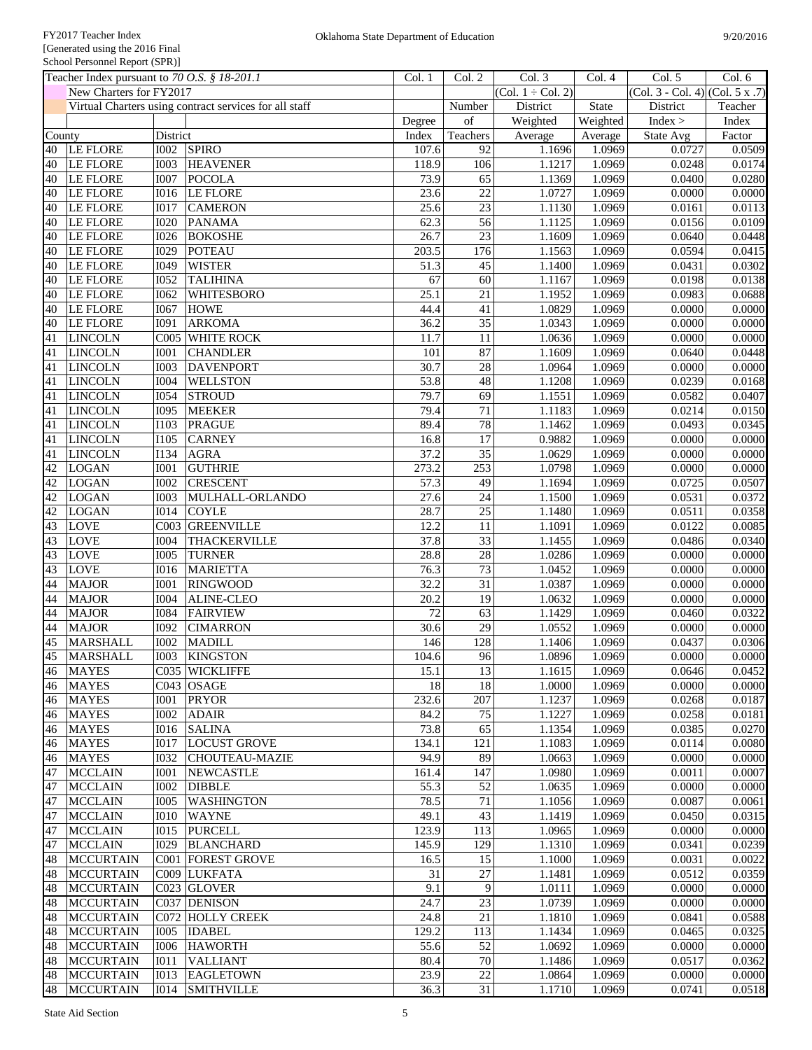|        | Teacher Index pursuant to 70 O.S. § 18-201.1 |                  |                                                        |                   | Col. 2           | Col. 3                 | Col. 4   | Col. 5                              | Col. 6           |
|--------|----------------------------------------------|------------------|--------------------------------------------------------|-------------------|------------------|------------------------|----------|-------------------------------------|------------------|
|        | New Charters for FY2017                      |                  |                                                        | Col. 1            |                  | $(Col. 1 \div Col. 2)$ |          | $(Col. 3 - Col. 4)$ $(Col. 5 x .7)$ |                  |
|        |                                              |                  | Virtual Charters using contract services for all staff |                   | Number           | District               | State    | District                            | Teacher          |
|        |                                              |                  |                                                        | Degree            | of               | Weighted               | Weighted | Index >                             | Index            |
| County |                                              | District         |                                                        | Index             | Teachers         | Average                | Average  | State Avg                           | Factor           |
| 40     | <b>LE FLORE</b>                              | <b>I002</b>      | <b>SPIRO</b>                                           | 107.6             | 92               | 1.1696                 | 1.0969   | 0.0727                              | 0.0509           |
| 40     | LE FLORE                                     | <b>I003</b>      | <b>HEAVENER</b>                                        | 118.9             | 106              | 1.1217                 | 1.0969   | 0.0248                              | 0.0174           |
| 40     | LE FLORE                                     | <b>I007</b>      | <b>POCOLA</b>                                          | 73.9              | $\overline{65}$  | 1.1369                 | 1.0969   | 0.0400                              | 0.0280           |
| 40     | LE FLORE                                     | <b>I016</b>      | <b>LE FLORE</b>                                        | 23.6              | $\overline{22}$  | 1.0727                 | 1.0969   | 0.0000                              | 0.0000           |
| 40     | LE FLORE                                     | <b>I017</b>      | <b>CAMERON</b>                                         | 25.6              | $\overline{23}$  | 1.1130                 | 1.0969   | 0.0161                              | 0.0113           |
| 40     | LE FLORE                                     | <b>I020</b>      | <b>PANAMA</b>                                          | 62.3              | 56               | 1.1125                 | 1.0969   | 0.0156                              | 0.0109           |
| 40     | LE FLORE                                     | I026             | <b>BOKOSHE</b>                                         | 26.7              | $\overline{23}$  | 1.1609                 | 1.0969   | 0.0640                              | 0.0448           |
| 40     | LE FLORE                                     | I029             | <b>POTEAU</b>                                          | 203.5             | 176              | 1.1563                 | 1.0969   | 0.0594                              | 0.0415           |
| 40     | <b>LE FLORE</b>                              | I049             | <b>WISTER</b>                                          | 51.3              | $\overline{45}$  | 1.1400                 | 1.0969   | 0.0431                              | 0.0302           |
| 40     | LE FLORE                                     | I052             | <b>TALIHINA</b>                                        | 67                | 60               | 1.1167                 | 1.0969   | 0.0198                              | 0.0138           |
| 40     | LE FLORE                                     | I062             | <b>WHITESBORO</b>                                      | 25.1              | 21               | 1.1952                 | 1.0969   | 0.0983                              | 0.0688           |
| 40     | LE FLORE                                     | I067             | <b>HOWE</b>                                            | 44.4              | 41               | 1.0829                 | 1.0969   | 0.0000                              | 0.0000           |
| 40     | LE FLORE                                     | <b>I091</b>      | <b>ARKOMA</b>                                          | 36.2              | $\overline{35}$  | 1.0343                 | 1.0969   | 0.0000                              | 0.0000           |
| 41     | <b>LINCOLN</b>                               |                  | C005 WHITE ROCK                                        | 11.7              | $\overline{11}$  | 1.0636                 | 1.0969   | 0.0000                              | 0.0000           |
| 41     | <b>LINCOLN</b>                               | <b>I001</b>      | <b>CHANDLER</b>                                        | 101               | 87               | 1.1609                 | 1.0969   | 0.0640                              | 0.0448           |
| 41     | <b>LINCOLN</b>                               | <b>I003</b>      | <b>DAVENPORT</b>                                       | 30.7              | 28               | 1.0964                 | 1.0969   | 0.0000                              | 0.0000           |
| 41     | <b>LINCOLN</b>                               | <b>I004</b>      | <b>WELLSTON</b>                                        | 53.8              | $\overline{48}$  | 1.1208                 | 1.0969   | 0.0239                              | 0.0168           |
|        |                                              |                  |                                                        |                   |                  |                        | 1.0969   | 0.0582                              |                  |
| 41     | <b>LINCOLN</b>                               | <b>I054</b>      | <b>STROUD</b>                                          | 79.7              | 69<br>71         | 1.1551                 | 1.0969   |                                     | 0.0407           |
| 41     | <b>LINCOLN</b>                               | I095             | <b>MEEKER</b>                                          | 79.4              |                  | 1.1183                 |          | 0.0214                              | 0.0150           |
| 41     | <b>LINCOLN</b>                               | I103             | <b>PRAGUE</b>                                          | 89.4              | 78               | 1.1462                 | 1.0969   | 0.0493                              | 0.0345<br>0.0000 |
| 41     | <b>LINCOLN</b>                               | <b>I105</b>      | <b>CARNEY</b>                                          | 16.8              | $\overline{17}$  | 0.9882                 | 1.0969   | 0.0000                              |                  |
| 41     | <b>LINCOLN</b>                               | I134             | <b>AGRA</b>                                            | 37.2              | $\overline{35}$  | 1.0629                 | 1.0969   | 0.0000                              | 0.0000           |
| 42     | <b>LOGAN</b>                                 | <b>I001</b>      | <b>GUTHRIE</b>                                         | 273.2             | $\overline{253}$ | 1.0798                 | 1.0969   | 0.0000                              | 0.0000           |
| 42     | <b>LOGAN</b>                                 | <b>I002</b>      | <b>CRESCENT</b>                                        | 57.3              | 49               | 1.1694                 | 1.0969   | 0.0725                              | 0.0507           |
| 42     | <b>LOGAN</b>                                 | <b>I003</b>      | MULHALL-ORLANDO                                        | 27.6              | $\overline{24}$  | 1.1500                 | 1.0969   | 0.0531                              | 0.0372           |
| 42     | <b>LOGAN</b>                                 | <b>I014</b>      | <b>COYLE</b>                                           | 28.7              | $\overline{25}$  | 1.1480                 | 1.0969   | 0.0511                              | 0.0358           |
| 43     | <b>LOVE</b>                                  |                  | C003 GREENVILLE                                        | 12.2              | 11               | 1.1091                 | 1.0969   | 0.0122                              | 0.0085           |
| 43     | <b>LOVE</b>                                  | <b>I004</b>      | THACKERVILLE                                           | 37.8              | 33               | 1.1455                 | 1.0969   | 0.0486                              | 0.0340           |
| 43     | <b>LOVE</b>                                  | <b>I005</b>      | <b>TURNER</b>                                          | 28.8              | 28               | 1.0286                 | 1.0969   | 0.0000                              | 0.0000           |
| 43     | <b>LOVE</b>                                  | <b>I016</b>      | <b>MARIETTA</b>                                        | 76.3              | $\overline{73}$  | 1.0452                 | 1.0969   | 0.0000                              | 0.0000           |
| 44     | <b>MAJOR</b>                                 | <b>I001</b>      | <b>RINGWOOD</b>                                        | 32.2              | $\overline{31}$  | 1.0387                 | 1.0969   | 0.0000                              | 0.0000           |
| 44     | <b>MAJOR</b>                                 | <b>I004</b>      | <b>ALINE-CLEO</b>                                      | $\overline{20.2}$ | $\overline{19}$  | 1.0632                 | 1.0969   | 0.0000                              | 0.0000           |
| 44     | <b>MAJOR</b>                                 | <b>I084</b>      | FAIRVIEW                                               | $\overline{72}$   | $\overline{63}$  | 1.1429                 | 1.0969   | 0.0460                              | 0.0322           |
| 44     | <b>MAJOR</b>                                 | I092             | <b>CIMARRON</b>                                        | 30.6              | $\overline{29}$  | 1.0552                 | 1.0969   | 0.0000                              | 0.0000           |
| 45     | <b>MARSHALL</b>                              | <b>I002</b>      | <b>MADILL</b>                                          | 146               | 128              | 1.1406                 | 1.0969   | 0.0437                              | 0.0306           |
| 45     | MARSHALL                                     | <b>I003</b>      | <b>KINGSTON</b>                                        | 104.6             | 96               | 1.0896                 | 1.0969   | 0.0000                              | 0.0000           |
| 46     | <b>MAYES</b>                                 |                  | C035 WICKLIFFE                                         | 15.1              | 13               | 1.1615                 | 1.0969   | 0.0646                              | 0.0452           |
| 46     | <b>MAYES</b>                                 |                  | $C043$ OSAGE                                           | 18                | $\overline{18}$  | 1.0000                 | 1.0969   | 0.0000                              | 0.0000           |
| 46     | <b>MAYES</b>                                 | <b>I001</b>      | <b>PRYOR</b>                                           | 232.6             | $\overline{207}$ | 1.1237                 | 1.0969   | 0.0268                              | 0.0187           |
| 46     | <b>MAYES</b>                                 | <b>I002</b>      | <b>ADAIR</b>                                           | 84.2              | 75               | 1.1227                 | 1.0969   | 0.0258                              | 0.0181           |
| 46     | <b>MAYES</b>                                 | <b>I016</b>      | <b>SALINA</b>                                          | 73.8              | 65               | 1.1354                 | 1.0969   | 0.0385                              | 0.0270           |
| 46     | <b>MAYES</b>                                 | <b>I017</b>      | <b>LOCUST GROVE</b>                                    | 134.1             | 121              | 1.1083                 | 1.0969   | 0.0114                              | 0.0080           |
| 46     | <b>MAYES</b>                                 | <b>I032</b>      | CHOUTEAU-MAZIE                                         | 94.9              | 89               | 1.0663                 | 1.0969   | 0.0000                              | 0.0000           |
| 47     | <b>MCCLAIN</b>                               | <b>I001</b>      | <b>NEWCASTLE</b>                                       | 161.4             | 147              | 1.0980                 | 1.0969   | 0.0011                              | 0.0007           |
| 47     | <b>MCCLAIN</b>                               | <b>I002</b>      | <b>DIBBLE</b>                                          | 55.3              | 52               | 1.0635                 | 1.0969   | 0.0000                              | 0.0000           |
| 47     | <b>MCCLAIN</b>                               | <b>I005</b>      | <b>WASHINGTON</b>                                      | 78.5              | $71\,$           | 1.1056                 | 1.0969   | 0.0087                              | 0.0061           |
| 47     | <b>MCCLAIN</b>                               | <b>IO10</b>      | <b>WAYNE</b>                                           | 49.1              | $\overline{43}$  | 1.1419                 | 1.0969   | 0.0450                              | 0.0315           |
| 47     | <b>MCCLAIN</b>                               | <b>IO15</b>      | <b>PURCELL</b>                                         | 123.9             | 113              | 1.0965                 | 1.0969   | 0.0000                              | 0.0000           |
| 47     | <b>MCCLAIN</b>                               | <b>I029</b>      | <b>BLANCHARD</b>                                       | 145.9             | 129              | 1.1310                 | 1.0969   | 0.0341                              | 0.0239           |
| 48     | <b>MCCURTAIN</b>                             |                  | C001 FOREST GROVE                                      | 16.5              | 15               | 1.1000                 | 1.0969   | 0.0031                              | 0.0022           |
| 48     | <b>MCCURTAIN</b>                             |                  | C009 LUKFATA                                           | 31                | 27               | 1.1481                 | 1.0969   | 0.0512                              | 0.0359           |
| 48     | <b>MCCURTAIN</b>                             |                  | $C023$ GLOVER                                          | 9.1               | $\overline{9}$   | 1.0111                 | 1.0969   | 0.0000                              | 0.0000           |
| 48     | <b>MCCURTAIN</b>                             |                  | C037 DENISON                                           | $\overline{24.7}$ | $\overline{23}$  | 1.0739                 | 1.0969   | 0.0000                              | 0.0000           |
| 48     | <b>MCCURTAIN</b>                             |                  | <b>C072 HOLLY CREEK</b>                                | 24.8              | $\overline{21}$  | 1.1810                 | 1.0969   | 0.0841                              | 0.0588           |
| 48     | <b>MCCURTAIN</b>                             | <b>I005</b>      | <b>IDABEL</b>                                          | 129.2             | 113              | 1.1434                 | 1.0969   | 0.0465                              | 0.0325           |
| 48     | <b>MCCURTAIN</b>                             | <b>I006</b>      | <b>HAWORTH</b>                                         | 55.6              | $\overline{52}$  | 1.0692                 | 1.0969   | 0.0000                              | 0.0000           |
| 48     | <b>MCCURTAIN</b>                             | I011             | <b>VALLIANT</b>                                        | 80.4              | 70               | 1.1486                 | 1.0969   | 0.0517                              | 0.0362           |
| 48     | <b>MCCURTAIN</b>                             | <b>I013</b>      | <b>EAGLETOWN</b>                                       | 23.9              | 22               | 1.0864                 | 1.0969   | 0.0000                              | 0.0000           |
| 48     | <b>MCCURTAIN</b>                             | I <sub>014</sub> | <b>SMITHVILLE</b>                                      | 36.3              | 31               | 1.1710                 | 1.0969   | 0.0741                              | 0.0518           |
|        |                                              |                  |                                                        |                   |                  |                        |          |                                     |                  |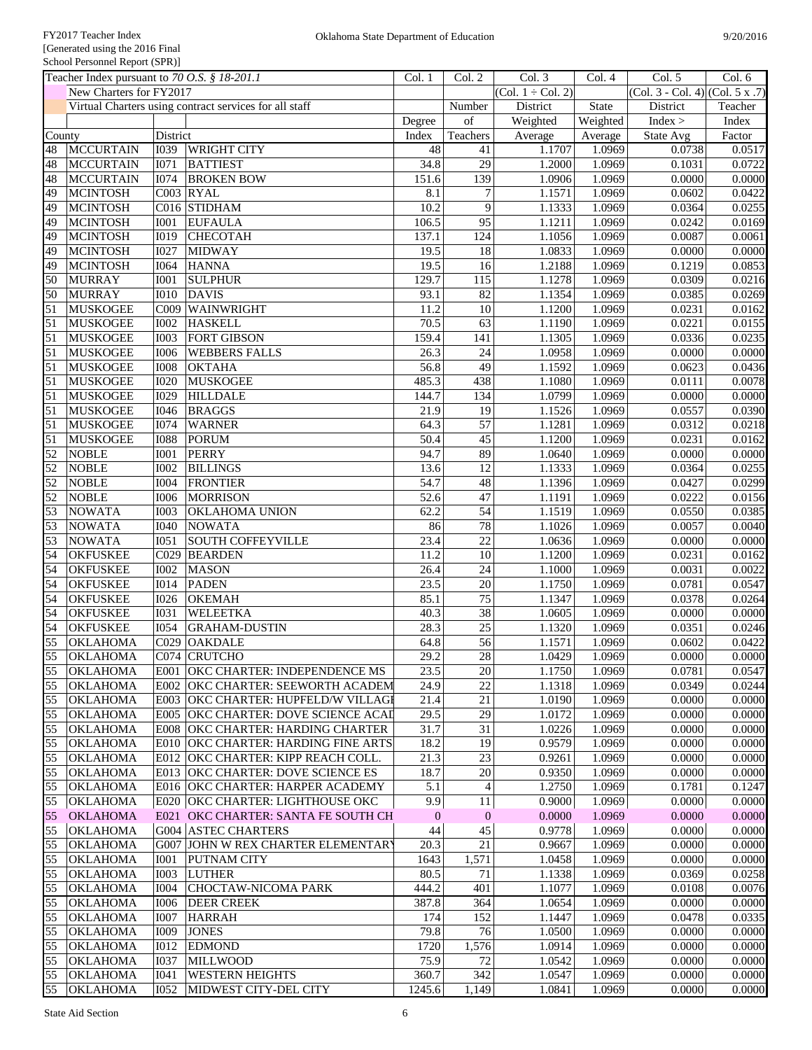|                 | Teacher Index pursuant to 70 O.S. § 18-201.1 |             |                                                        |                   | Col. 2           | Col. 3              | Col. 4   | Col. 5                              | Col. 6  |
|-----------------|----------------------------------------------|-------------|--------------------------------------------------------|-------------------|------------------|---------------------|----------|-------------------------------------|---------|
|                 | New Charters for FY2017                      |             |                                                        | Col. 1            |                  | $(Col. 1 + Col. 2)$ |          | $(Col. 3 - Col. 4)$ $(Col. 5 x .7)$ |         |
|                 |                                              |             | Virtual Charters using contract services for all staff |                   | Number           | District            | State    | District                            | Teacher |
|                 |                                              |             |                                                        | Degree            | of               | Weighted            | Weighted | Index >                             | Index   |
|                 | County                                       | District    |                                                        | Index             | Teachers         | Average             | Average  | State Avg                           | Factor  |
| 48              | <b>MCCURTAIN</b>                             | <b>I039</b> | <b>WRIGHT CITY</b>                                     | 48                | 41               | 1.1707              | 1.0969   | 0.0738                              | 0.0517  |
| 48              | <b>MCCURTAIN</b>                             | <b>I071</b> | <b>BATTIEST</b>                                        | 34.8              | 29               | 1.2000              | 1.0969   | 0.1031                              | 0.0722  |
| 48              | <b>MCCURTAIN</b>                             | I074        | <b>BROKEN BOW</b>                                      | 151.6             | 139              | 1.0906              | 1.0969   | 0.0000                              | 0.0000  |
| 49              | <b>MCINTOSH</b>                              |             | $CO03$ RYAL                                            | 8.1               | $\boldsymbol{7}$ | 1.1571              | 1.0969   | 0.0602                              | 0.0422  |
| 49              | <b>MCINTOSH</b>                              |             | C016 STIDHAM                                           | 10.2              | 9                | 1.1333              | 1.0969   | 0.0364                              | 0.0255  |
| 49              | <b>MCINTOSH</b>                              | <b>I001</b> | <b>EUFAULA</b>                                         | 106.5             | 95               | 1.1211              | 1.0969   | 0.0242                              | 0.0169  |
| 49              | <b>MCINTOSH</b>                              | I019        | <b>CHECOTAH</b>                                        | 137.1             | 124              | 1.1056              | 1.0969   | 0.0087                              | 0.0061  |
| 49              | <b>MCINTOSH</b>                              | I027        | <b>MIDWAY</b>                                          | 19.5              | $\overline{18}$  | 1.0833              | 1.0969   | 0.0000                              | 0.0000  |
| 49              | <b>MCINTOSH</b>                              | I064        | <b>HANNA</b>                                           | 19.5              | $\overline{16}$  | 1.2188              | 1.0969   | 0.1219                              | 0.0853  |
| 50              | <b>MURRAY</b>                                | I001        | <b>SULPHUR</b>                                         | 129.7             | 115              | 1.1278              | 1.0969   | 0.0309                              | 0.0216  |
| 50              | <b>MURRAY</b>                                | <b>I010</b> | <b>DAVIS</b>                                           | 93.1              | 82               | 1.1354              | 1.0969   | 0.0385                              | 0.0269  |
| 51              | <b>MUSKOGEE</b>                              | C009        | WAINWRIGHT                                             | 11.2              | 10               | 1.1200              | 1.0969   | 0.0231                              | 0.0162  |
| 51              | <b>MUSKOGEE</b>                              | <b>I002</b> | <b>HASKELL</b>                                         | 70.5              | 63               | 1.1190              | 1.0969   | 0.0221                              | 0.0155  |
| 51              | <b>MUSKOGEE</b>                              | <b>I003</b> | <b>FORT GIBSON</b>                                     | 159.4             | 141              | 1.1305              | 1.0969   | 0.0336                              | 0.0235  |
| 51              | <b>MUSKOGEE</b>                              | <b>I006</b> | <b>WEBBERS FALLS</b>                                   | 26.3              | 24               | 1.0958              | 1.0969   | 0.0000                              | 0.0000  |
| 51              | <b>MUSKOGEE</b>                              | <b>I008</b> | <b>OKTAHA</b>                                          | 56.8              | 49               | 1.1592              | 1.0969   | 0.0623                              | 0.0436  |
| 51              | <b>MUSKOGEE</b>                              | <b>I020</b> | <b>MUSKOGEE</b>                                        | 485.3             | 438              | 1.1080              | 1.0969   | 0.0111                              | 0.0078  |
| 51              | <b>MUSKOGEE</b>                              | I029        | <b>HILLDALE</b>                                        | 144.7             | 134              | 1.0799              | 1.0969   | 0.0000                              | 0.0000  |
| 51              | <b>MUSKOGEE</b>                              | <b>I046</b> | <b>BRAGGS</b>                                          | 21.9              | 19               | 1.1526              | 1.0969   | 0.0557                              | 0.0390  |
| 51              | <b>MUSKOGEE</b>                              | I074        | <b>WARNER</b>                                          | 64.3              | $\overline{57}$  | 1.1281              | 1.0969   | 0.0312                              | 0.0218  |
| 51              | <b>MUSKOGEE</b>                              | <b>I088</b> | <b>PORUM</b>                                           | 50.4              | 45               | 1.1200              | 1.0969   | 0.0231                              | 0.0162  |
| $\overline{52}$ | <b>NOBLE</b>                                 | I001        | <b>PERRY</b>                                           | 94.7              | 89               | 1.0640              | 1.0969   | 0.0000                              | 0.0000  |
| $\overline{52}$ | <b>NOBLE</b>                                 | <b>I002</b> | <b>BILLINGS</b>                                        | 13.6              | $\overline{12}$  | 1.1333              | 1.0969   | 0.0364                              | 0.0255  |
| $\overline{52}$ | <b>NOBLE</b>                                 | I004        | <b>FRONTIER</b>                                        | 54.7              | 48               | 1.1396              | 1.0969   | 0.0427                              | 0.0299  |
| $\overline{52}$ | <b>NOBLE</b>                                 | I006        | <b>MORRISON</b>                                        | 52.6              | 47               | 1.1191              | 1.0969   | 0.0222                              | 0.0156  |
| 53              | <b>NOWATA</b>                                | <b>I003</b> | OKLAHOMA UNION                                         | 62.2              | 54               | 1.1519              | 1.0969   | 0.0550                              | 0.0385  |
| 53              | <b>NOWATA</b>                                | <b>I040</b> | <b>NOWATA</b>                                          | 86                | 78               | 1.1026              | 1.0969   | 0.0057                              | 0.0040  |
| 53              | <b>NOWATA</b>                                | I051        | <b>SOUTH COFFEYVILLE</b>                               | 23.4              | 22               | 1.0636              | 1.0969   | 0.0000                              | 0.0000  |
| 54              | <b>OKFUSKEE</b>                              | C029        | <b>BEARDEN</b>                                         | 11.2              | 10               | 1.1200              | 1.0969   | 0.0231                              | 0.0162  |
| 54              | <b>OKFUSKEE</b>                              | <b>I002</b> | <b>MASON</b>                                           | $\overline{26.4}$ | $\overline{24}$  | 1.1000              | 1.0969   | 0.0031                              | 0.0022  |
| 54              | <b>OKFUSKEE</b>                              | <b>I014</b> | <b>PADEN</b>                                           | 23.5              | $\overline{20}$  | 1.1750              | 1.0969   | 0.0781                              | 0.0547  |
| 54              | <b>OKFUSKEE</b>                              | I026        | <b>OKEMAH</b>                                          | 85.1              | $\overline{75}$  | 1.1347              | 1.0969   | 0.0378                              | 0.0264  |
| $\overline{54}$ | <b>OKFUSKEE</b>                              | <b>I031</b> | <b>WELEETKA</b>                                        | 40.3              | $\overline{38}$  | 1.0605              | 1.0969   | 0.0000                              | 0.0000  |
| 54              | <b>OKFUSKEE</b>                              | <b>I054</b> | <b>GRAHAM-DUSTIN</b>                                   | 28.3              | 25               | 1.1320              | 1.0969   | 0.0351                              | 0.0246  |
| 55              | <b>OKLAHOMA</b>                              |             | C029 OAKDALE                                           | 64.8              | 56               | 1.1571              | 1.0969   | 0.0602                              | 0.0422  |
| 55              | <b>OKLAHOMA</b>                              |             | C074 CRUTCHO                                           | 29.2              | 28               | 1.0429              | 1.0969   | 0.0000                              | 0.0000  |
| 55              | <b>OKLAHOMA</b>                              |             | E001 OKC CHARTER: INDEPENDENCE MS                      | 23.5              | 20               | 1.1750              | 1.0969   | 0.0781                              | 0.0547  |
| 55              | <b>OKLAHOMA</b>                              |             | E002 OKC CHARTER: SEEWORTH ACADEM                      | 24.9              | 22               | 1.1318              | 1.0969   | 0.0349                              | 0.0244  |
| 55              | <b>OKLAHOMA</b>                              |             | E003 OKC CHARTER: HUPFELD/W VILLAGE                    | 21.4              | 21               | 1.0190              | 1.0969   | 0.0000                              | 0.0000  |
| 55              | <b>OKLAHOMA</b>                              | E005        | <b>OKC CHARTER: DOVE SCIENCE ACAL</b>                  | 29.5              | 29               | 1.0172              | 1.0969   | 0.0000                              | 0.0000  |
| 55              | <b>OKLAHOMA</b>                              |             | E008 OKC CHARTER: HARDING CHARTER                      | 31.7              | 31               | 1.0226              | 1.0969   | 0.0000                              | 0.0000  |
| 55              | <b>OKLAHOMA</b>                              |             | E010 OKC CHARTER: HARDING FINE ARTS                    | 18.2              | 19               | 0.9579              | 1.0969   | 0.0000                              | 0.0000  |
| 55              | <b>OKLAHOMA</b>                              |             | E012 OKC CHARTER: KIPP REACH COLL.                     | 21.3              | 23               | 0.9261              | 1.0969   | 0.0000                              | 0.0000  |
| 55              | <b>OKLAHOMA</b>                              |             | E013 OKC CHARTER: DOVE SCIENCE ES                      | 18.7              | 20               | 0.9350              | 1.0969   | 0.0000                              | 0.0000  |
| 55              | <b>OKLAHOMA</b>                              |             | E016 OKC CHARTER: HARPER ACADEMY                       | 5.1               | $\overline{4}$   | 1.2750              | 1.0969   | 0.1781                              | 0.1247  |
| 55              | <b>OKLAHOMA</b>                              |             | E020 OKC CHARTER: LIGHTHOUSE OKC                       | 9.9               | 11               | 0.9000              | 1.0969   | 0.0000                              | 0.0000  |
| 55              | <b>OKLAHOMA</b>                              |             | E021 OKC CHARTER: SANTA FE SOUTH CH                    | $\mathbf{0}$      | $\mathbf{0}$     | 0.0000              | 1.0969   | 0.0000                              | 0.0000  |
| 55              | <b>OKLAHOMA</b>                              |             | <b>G004 ASTEC CHARTERS</b>                             | 44                | 45               | 0.9778              | 1.0969   | 0.0000                              | 0.0000  |
| 55              | <b>OKLAHOMA</b>                              |             | G007 JOHN W REX CHARTER ELEMENTARY                     | 20.3              | $\overline{21}$  | 0.9667              | 1.0969   | 0.0000                              | 0.0000  |
| 55              | <b>OKLAHOMA</b>                              | <b>I001</b> | <b>PUTNAM CITY</b>                                     | 1643              | 1,571            | 1.0458              | 1.0969   | 0.0000                              | 0.0000  |
| 55              | <b>OKLAHOMA</b>                              | <b>I003</b> | <b>LUTHER</b>                                          | 80.5              | 71               | 1.1338              | 1.0969   | 0.0369                              | 0.0258  |
| 55              | <b>OKLAHOMA</b>                              | <b>I004</b> | CHOCTAW-NICOMA PARK                                    | 444.2             | 401              | 1.1077              | 1.0969   | 0.0108                              | 0.0076  |
| 55              | <b>OKLAHOMA</b>                              | <b>I006</b> | <b>DEER CREEK</b>                                      | 387.8             | 364              | 1.0654              | 1.0969   | 0.0000                              | 0.0000  |
| 55              | <b>OKLAHOMA</b>                              | <b>I007</b> | <b>HARRAH</b>                                          | 174               | 152              | 1.1447              | 1.0969   | 0.0478                              | 0.0335  |
| 55              | <b>OKLAHOMA</b>                              | <b>I009</b> | <b>JONES</b>                                           | 79.8              | 76               | 1.0500              | 1.0969   | 0.0000                              | 0.0000  |
| 55              | <b>OKLAHOMA</b>                              | <b>I012</b> | <b>EDMOND</b>                                          | 1720              | 1,576            | 1.0914              | 1.0969   | 0.0000                              | 0.0000  |
| 55              | <b>OKLAHOMA</b>                              | <b>I037</b> | <b>MILLWOOD</b>                                        | 75.9              | 72               | 1.0542              | 1.0969   | 0.0000                              | 0.0000  |
| 55              | <b>OKLAHOMA</b>                              | I041        | <b>WESTERN HEIGHTS</b>                                 | 360.7             | 342              | 1.0547              | 1.0969   | 0.0000                              | 0.0000  |
| 55              | <b>OKLAHOMA</b>                              | <b>I052</b> | MIDWEST CITY-DEL CITY                                  | 1245.6            | 1,149            | 1.0841              | 1.0969   | 0.0000                              | 0.0000  |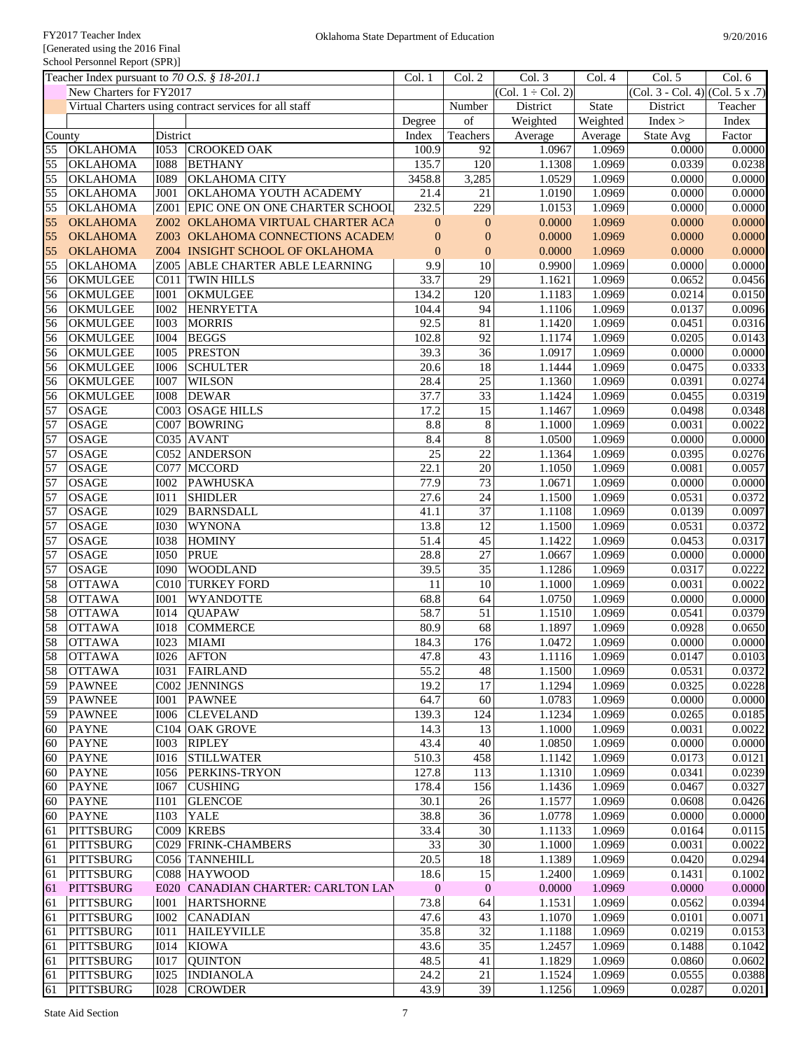|        | Teacher Index pursuant to 70 O.S. § 18-201.1 |             |                                                        | Col. 1             | Col. 2           | Col. 3                 | Col. 4           | Col. 5                              | $\overline{\text{Col}}$ . 6 |
|--------|----------------------------------------------|-------------|--------------------------------------------------------|--------------------|------------------|------------------------|------------------|-------------------------------------|-----------------------------|
|        | New Charters for FY2017                      |             |                                                        |                    |                  | $(Col. 1 \div Col. 2)$ |                  | $(Col. 3 - Col. 4)$ $(Col. 5 x .7)$ |                             |
|        |                                              |             | Virtual Charters using contract services for all staff |                    | Number           | District               | State            | District                            | Teacher                     |
|        |                                              |             |                                                        | Degree             | of               | Weighted               | Weighted         | Index >                             | Index                       |
| County |                                              | District    |                                                        | Index              | Teachers         | Average                | Average          | State Avg                           | Factor                      |
| 55     | <b>OKLAHOMA</b>                              | <b>I053</b> | <b>CROOKED OAK</b>                                     | 100.9              | 92               | 1.0967                 | 1.0969           | 0.0000                              | 0.0000                      |
| 55     | <b>OKLAHOMA</b>                              | <b>I088</b> | <b>BETHANY</b>                                         | 135.7              | 120              | 1.1308                 | 1.0969           | 0.0339                              | 0.0238                      |
| 55     | <b>OKLAHOMA</b>                              | <b>I089</b> | OKLAHOMA CITY                                          | 3458.8             | 3,285            | 1.0529                 | 1.0969           | 0.0000                              | 0.0000                      |
| 55     | <b>OKLAHOMA</b>                              | J001        | OKLAHOMA YOUTH ACADEMY                                 | 21.4               | 21               | 1.0190                 | 1.0969           | 0.0000                              | 0.0000                      |
| 55     | <b>OKLAHOMA</b>                              |             | Z001 EPIC ONE ON ONE CHARTER SCHOOL                    | $\overline{232.5}$ | 229              | 1.0153                 | 1.0969           | 0.0000                              | 0.0000                      |
| 55     | <b>OKLAHOMA</b>                              |             | Z002 OKLAHOMA VIRTUAL CHARTER ACA                      | $\mathbf{0}$       | $\boldsymbol{0}$ | 0.0000                 | 1.0969           | 0.0000                              | 0.0000                      |
| 55     | <b>OKLAHOMA</b>                              |             | Z003 OKLAHOMA CONNECTIONS ACADEM                       | $\mathbf{0}$       | $\mathbf{0}$     | 0.0000                 | 1.0969           | 0.0000                              | 0.0000                      |
| 55     | <b>OKLAHOMA</b>                              |             | Z004 INSIGHT SCHOOL OF OKLAHOMA                        | $\mathbf{0}$       | $\boldsymbol{0}$ | 0.0000                 | 1.0969           | 0.0000                              | 0.0000                      |
| 55     | <b>OKLAHOMA</b>                              |             | Z005 ABLE CHARTER ABLE LEARNING                        | 9.9                | 10               | 0.9900                 | 1.0969           | 0.0000                              | 0.0000                      |
| 56     | <b>OKMULGEE</b>                              | CO11        | <b>TWIN HILLS</b>                                      | 33.7               | $\overline{29}$  | 1.1621                 | 1.0969           | 0.0652                              | 0.0456                      |
| 56     | <b>OKMULGEE</b>                              | <b>I001</b> | OKMULGEE                                               | 134.2              | 120              | 1.1183                 | 1.0969           | 0.0214                              | 0.0150                      |
| 56     | OKMULGEE                                     | <b>I002</b> | <b>HENRYETTA</b>                                       | 104.4              | 94               | 1.1106                 | 1.0969           | 0.0137                              | 0.0096                      |
| 56     | <b>OKMULGEE</b>                              | <b>I003</b> | <b>MORRIS</b>                                          | 92.5               | 81               | 1.1420                 | 1.0969           | 0.0451                              | 0.0316                      |
| 56     | <b>OKMULGEE</b>                              | <b>I004</b> | <b>BEGGS</b>                                           | 102.8              | 92               | 1.1174                 | 1.0969           | 0.0205                              | 0.0143                      |
| 56     | OKMULGEE                                     | <b>I005</b> | <b>PRESTON</b>                                         | 39.3               | $\overline{36}$  | 1.0917                 | 1.0969           | 0.0000                              | 0.0000                      |
| 56     | <b>OKMULGEE</b>                              | <b>I006</b> | <b>SCHULTER</b>                                        | 20.6               | $\overline{18}$  | 1.1444                 | 1.0969           | 0.0475                              | 0.0333                      |
| 56     | <b>OKMULGEE</b>                              | <b>I007</b> | <b>WILSON</b>                                          | 28.4               | $\overline{25}$  | 1.1360                 | 1.0969           | 0.0391                              | 0.0274                      |
| 56     | <b>OKMULGEE</b>                              | <b>I008</b> | <b>DEWAR</b>                                           | 37.7               | $\overline{33}$  | 1.1424                 | 1.0969           | 0.0455                              | 0.0319                      |
| 57     | <b>OSAGE</b>                                 |             | C003 OSAGE HILLS                                       | 17.2               | $\overline{15}$  | 1.1467                 | 1.0969           |                                     |                             |
|        | <b>OSAGE</b>                                 |             |                                                        |                    | $\,8\,$          |                        |                  | 0.0498<br>0.0031                    | 0.0348                      |
| 57     |                                              |             | C007 BOWRING<br>$C035$ AVANT                           | 8.8                | $\overline{8}$   | 1.1000                 | 1.0969<br>1.0969 |                                     | 0.0022                      |
| 57     | <b>OSAGE</b>                                 |             |                                                        | 8.4                |                  | 1.0500                 |                  | 0.0000                              | 0.0000                      |
| 57     | <b>OSAGE</b>                                 |             | C052 ANDERSON                                          | 25                 | $\overline{22}$  | 1.1364                 | 1.0969           | 0.0395                              | 0.0276                      |
| 57     | <b>OSAGE</b>                                 |             | $\overline{\text{C}077}$ MCCORD                        | 22.1               | 20               | 1.1050                 | 1.0969           | 0.0081                              | 0.0057                      |
| 57     | <b>OSAGE</b>                                 | <b>I002</b> | <b>PAWHUSKA</b>                                        | 77.9               | $\overline{73}$  | 1.0671                 | 1.0969           | 0.0000                              | 0.0000                      |
| 57     | <b>OSAGE</b>                                 | <b>IO11</b> | <b>SHIDLER</b>                                         | 27.6               | $\overline{24}$  | 1.1500                 | 1.0969           | 0.0531                              | 0.0372                      |
| 57     | <b>OSAGE</b>                                 | I029        | <b>BARNSDALL</b>                                       | 41.1               | 37               | 1.1108                 | 1.0969           | 0.0139                              | 0.0097                      |
| 57     | <b>OSAGE</b>                                 | <b>I030</b> | <b>WYNONA</b>                                          | 13.8               | 12               | 1.1500                 | 1.0969           | 0.0531                              | 0.0372                      |
| 57     | <b>OSAGE</b>                                 | <b>I038</b> | <b>HOMINY</b>                                          | 51.4               | 45               | 1.1422                 | 1.0969           | 0.0453                              | 0.0317                      |
| 57     | <b>OSAGE</b>                                 | <b>I050</b> | <b>PRUE</b>                                            | 28.8               | 27               | 1.0667                 | 1.0969           | 0.0000                              | 0.0000                      |
| 57     | <b>OSAGE</b>                                 | <b>I090</b> | <b>WOODLAND</b>                                        | 39.5               | $\overline{35}$  | 1.1286                 | 1.0969           | 0.0317                              | 0.0222                      |
| 58     | <b>OTTAWA</b>                                |             | C010 TURKEY FORD                                       | 11                 | $\overline{10}$  | 1.1000                 | 1.0969           | 0.0031                              | 0.0022                      |
| 58     | <b>OTTAWA</b>                                | <b>I001</b> | <b>WYANDOTTE</b>                                       | 68.8               | 64               | 1.0750                 | 1.0969           | 0.0000                              | 0.0000                      |
| 58     | <b>OTTAWA</b>                                | <b>IO14</b> | <b>QUAPAW</b>                                          | 58.7               | $\overline{51}$  | 1.1510                 | 1.0969           | 0.0541                              | 0.0379                      |
| 58     | <b>OTTAWA</b>                                | <b>I018</b> | <b>COMMERCE</b>                                        | 80.9               | 68               | 1.1897                 | 1.0969           | 0.0928                              | 0.0650                      |
| 58     | <b>OTTAWA</b>                                | <b>I023</b> | <b>MIAMI</b>                                           | 184.3              | 176              | 1.0472                 | 1.0969           | 0.0000                              | 0.0000                      |
| 58     | <b>OTTAWA</b>                                | <b>I026</b> | <b>AFTON</b>                                           | 47.8               | 43               | 1.1116                 | 1.0969           | 0.0147                              | 0.0103                      |
| 58     | <b>OTTAWA</b>                                |             | I031 FAIRLAND                                          | 55.2               | 48               | 1.1500                 | 1.0969           | 0.0531                              | 0.0372                      |
| 59     | <b>PAWNEE</b>                                |             | C002 JENNINGS                                          | 19.2               | 17               | 1.1294                 | 1.0969           | 0.0325                              | 0.0228                      |
| 59     | <b>PAWNEE</b>                                | <b>I001</b> | <b>PAWNEE</b>                                          | 64.7               | 60               | 1.0783                 | 1.0969           | 0.0000                              | 0.0000                      |
| 59     | <b>PAWNEE</b>                                | <b>I006</b> | <b>CLEVELAND</b>                                       | 139.3              | 124              | 1.1234                 | 1.0969           | 0.0265                              | 0.0185                      |
| 60     | <b>PAYNE</b>                                 |             | C104 OAK GROVE                                         | 14.3               | 13               | 1.1000                 | 1.0969           | 0.0031                              | 0.0022                      |
| 60     | <b>PAYNE</b>                                 | <b>I003</b> | <b>RIPLEY</b>                                          | 43.4               | 40               | 1.0850                 | 1.0969           | 0.0000                              | 0.0000                      |
| 60     | <b>PAYNE</b>                                 | I016        | <b>STILLWATER</b>                                      | 510.3              | 458              | 1.1142                 | 1.0969           | 0.0173                              | 0.0121                      |
| 60     | <b>PAYNE</b>                                 | <b>I056</b> | PERKINS-TRYON                                          | 127.8              | 113              | 1.1310                 | 1.0969           | 0.0341                              | 0.0239                      |
| 60     | <b>PAYNE</b>                                 | <b>I067</b> | <b>CUSHING</b>                                         | 178.4              | 156              | 1.1436                 | 1.0969           | 0.0467                              | 0.0327                      |
| 60     | <b>PAYNE</b>                                 | I101        | <b>GLENCOE</b>                                         | 30.1               | 26               | 1.1577                 | 1.0969           | 0.0608                              | 0.0426                      |
| 60     | <b>PAYNE</b>                                 | <b>I103</b> | <b>TYALE</b>                                           | 38.8               | $\overline{36}$  | 1.0778                 | 1.0969           | 0.0000                              | 0.0000                      |
| 61     | <b>PITTSBURG</b>                             |             | $C009$ KREBS                                           | 33.4               | $\overline{30}$  | 1.1133                 | 1.0969           | 0.0164                              | 0.0115                      |
| 61     | <b>PITTSBURG</b>                             |             | C029 FRINK-CHAMBERS                                    | 33                 | $\overline{30}$  | 1.1000                 | 1.0969           | 0.0031                              | 0.0022                      |
| 61     | <b>PITTSBURG</b>                             |             | C056 TANNEHILL                                         | 20.5               | 18               | 1.1389                 | 1.0969           | 0.0420                              | 0.0294                      |
| 61     | <b>PITTSBURG</b>                             |             | C088 HAYWOOD                                           | 18.6               | 15               | 1.2400                 | 1.0969           | 0.1431                              | 0.1002                      |
| 61     | <b>PITTSBURG</b>                             |             | E020 CANADIAN CHARTER: CARLTON LAN                     | $\mathbf{0}$       | $\mathbf{0}$     | 0.0000                 | 1.0969           | 0.0000                              | 0.0000                      |
| 61     | <b>PITTSBURG</b>                             | <b>I001</b> | <b>HARTSHORNE</b>                                      | 73.8               | 64               | 1.1531                 | 1.0969           | 0.0562                              | 0.0394                      |
| 61     | <b>PITTSBURG</b>                             | <b>I002</b> | <b>CANADIAN</b>                                        | 47.6               | 43               | 1.1070                 | 1.0969           | 0.0101                              | 0.0071                      |
| 61     | <b>PITTSBURG</b>                             | <b>IO11</b> | <b>HAILEYVILLE</b>                                     | 35.8               | $\overline{32}$  | 1.1188                 | 1.0969           | 0.0219                              | 0.0153                      |
| 61     | <b>PITTSBURG</b>                             | I014        | <b>KIOWA</b>                                           | 43.6               | $\overline{35}$  | 1.2457                 | 1.0969           | 0.1488                              | 0.1042                      |
| 61     | <b>PITTSBURG</b>                             | <b>I017</b> | <b>QUINTON</b>                                         | 48.5               | 41               | 1.1829                 | 1.0969           | 0.0860                              | 0.0602                      |
| 61     | <b>PITTSBURG</b>                             | I025        | <b>INDIANOLA</b>                                       | 24.2               | $21\,$           | 1.1524                 | 1.0969           | 0.0555                              | 0.0388                      |
| 61     | PITTSBURG                                    |             | I028 CROWDER                                           | 43.9               | 39               | 1.1256                 | 1.0969           | 0.0287                              | 0.0201                      |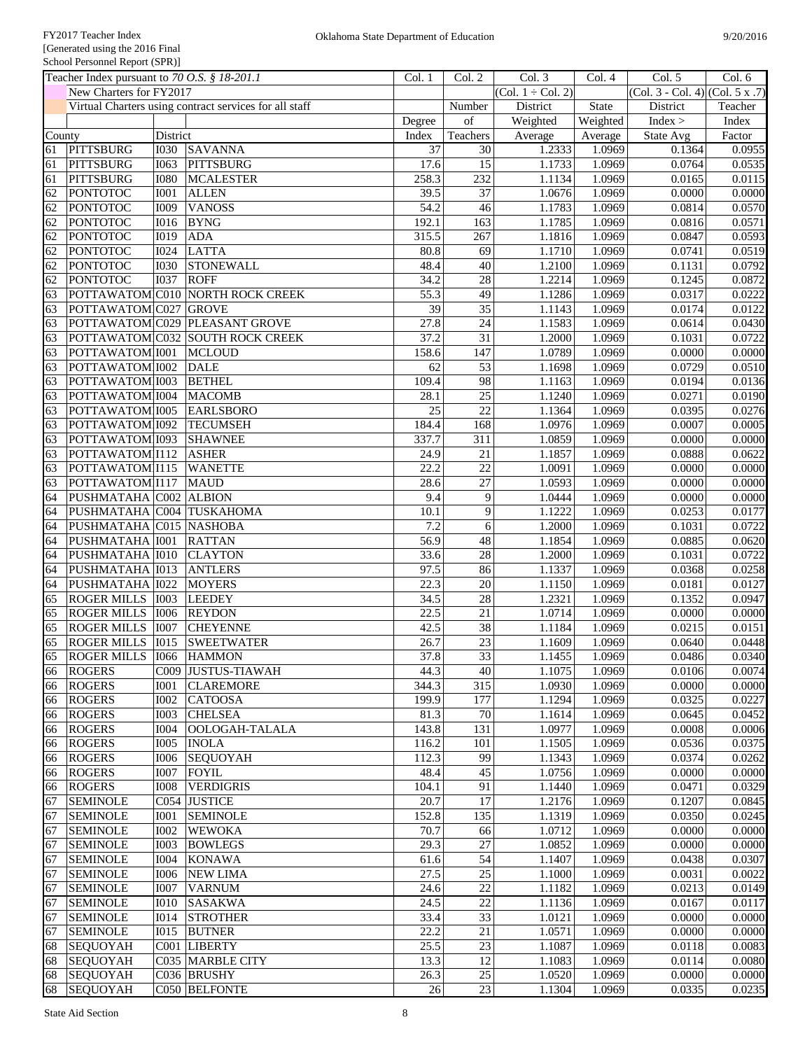|        | Teacher Index pursuant to 70 O.S. § 18-201.1 |             |                                                        | Col. 1            | Col. 2          | Col. 3                 | Col. 4   | Col. 5                              | Col. 6  |
|--------|----------------------------------------------|-------------|--------------------------------------------------------|-------------------|-----------------|------------------------|----------|-------------------------------------|---------|
|        | New Charters for FY2017                      |             |                                                        |                   |                 | $(Col. 1 \div Col. 2)$ |          | $(Col. 3 - Col. 4)$ $(Col. 5 x .7)$ |         |
|        |                                              |             | Virtual Charters using contract services for all staff |                   | Number          | District               | State    | District                            | Teacher |
|        |                                              |             |                                                        | Degree            | of              | Weighted               | Weighted | Index >                             | Index   |
| County |                                              | District    |                                                        | Index             | Teachers        | Average                | Average  | <b>State Avg</b>                    | Factor  |
| 61     | <b>PITTSBURG</b>                             | <b>I030</b> | SAVANNA                                                | 37                | $\overline{30}$ | 1.2333                 | 1.0969   | 0.1364                              | 0.0955  |
|        |                                              |             |                                                        | 17.6              | 15              |                        |          |                                     |         |
| 61     | <b>PITTSBURG</b>                             | <b>I063</b> | <b>PITTSBURG</b>                                       |                   |                 | 1.1733                 | 1.0969   | 0.0764                              | 0.0535  |
| 61     | PITTSBURG                                    | <b>I080</b> | <b>MCALESTER</b>                                       | 258.3             | 232             | 1.1134                 | 1.0969   | 0.0165                              | 0.0115  |
| 62     | <b>PONTOTOC</b>                              | <b>I001</b> | <b>ALLEN</b>                                           | 39.5              | 37              | 1.0676                 | 1.0969   | 0.0000                              | 0.0000  |
| 62     | <b>PONTOTOC</b>                              | <b>I009</b> | <b>VANOSS</b>                                          | 54.2              | 46              | 1.1783                 | 1.0969   | 0.0814                              | 0.0570  |
| 62     | <b>PONTOTOC</b>                              | <b>I016</b> | <b>BYNG</b>                                            | 192.1             | 163             | 1.1785                 | 1.0969   | 0.0816                              | 0.0571  |
| 62     | <b>PONTOTOC</b>                              | <b>I019</b> | ADA                                                    | 315.5             | 267             | 1.1816                 | 1.0969   | 0.0847                              | 0.0593  |
| 62     | <b>PONTOTOC</b>                              | <b>I024</b> | <b>LATTA</b>                                           | 80.8              | 69              | 1.1710                 | 1.0969   | 0.0741                              | 0.0519  |
| 62     | <b>PONTOTOC</b>                              | <b>I030</b> | <b>STONEWALL</b>                                       | 48.4              | 40              | 1.2100                 | 1.0969   | 0.1131                              | 0.0792  |
| 62     | <b>PONTOTOC</b>                              | <b>I037</b> | <b>ROFF</b>                                            | 34.2              | 28              | 1.2214                 | 1.0969   | 0.1245                              | 0.0872  |
| 63     |                                              |             | POTTAWATOM C010 NORTH ROCK CREEK                       | 55.3              | 49              | 1.1286                 | 1.0969   | 0.0317                              | 0.0222  |
| 63     | POTTAWATOM C027 GROVE                        |             |                                                        | 39                | $\overline{35}$ | 1.1143                 | 1.0969   | 0.0174                              | 0.0122  |
| 63     |                                              |             | POTTAWATOM C029 PLEASANT GROVE                         | 27.8              | 24              | 1.1583                 | 1.0969   | 0.0614                              | 0.0430  |
| 63     |                                              |             | POTTAWATOM C032 SOUTH ROCK CREEK                       | 37.2              | $\overline{31}$ | 1.2000                 | 1.0969   | 0.1031                              | 0.0722  |
| 63     | POTTAWATOM 1001                              |             | <b>MCLOUD</b>                                          | 158.6             | 147             | 1.0789                 | 1.0969   | 0.0000                              | 0.0000  |
| 63     | POTTAWATOM 1002                              |             | <b>DALE</b>                                            | 62                | 53              | 1.1698                 | 1.0969   | 0.0729                              | 0.0510  |
| 63     | POTTAWATOM 1003                              |             | <b>BETHEL</b>                                          | 109.4             | 98              | 1.1163                 | 1.0969   | 0.0194                              | 0.0136  |
| 63     | POTTAWATOM 1004                              |             | <b>MACOMB</b>                                          | 28.1              | 25              | 1.1240                 | 1.0969   | 0.0271                              | 0.0190  |
| 63     | POTTAWATOM 1005                              |             | <b>EARLSBORO</b>                                       | 25                | $\overline{22}$ | 1.1364                 | 1.0969   | 0.0395                              | 0.0276  |
|        |                                              |             | <b>TECUMSEH</b>                                        |                   | 168             |                        |          |                                     |         |
| 63     | POTTAWATOM 1092                              |             |                                                        | 184.4             |                 | 1.0976                 | 1.0969   | 0.0007                              | 0.0005  |
| 63     | POTTAWATOM 1093                              |             | <b>SHAWNEE</b>                                         | 337.7             | 311             | 1.0859                 | 1.0969   | 0.0000                              | 0.0000  |
| 63     | POTTAWATOM I112                              |             | <b>ASHER</b>                                           | 24.9              | $\overline{21}$ | 1.1857                 | 1.0969   | 0.0888                              | 0.0622  |
| 63     | POTTAWATOM I115                              |             | <b>WANETTE</b>                                         | 22.2              | $22\,$          | 1.0091                 | 1.0969   | 0.0000                              | 0.0000  |
| 63     | POTTAWATOM I117                              |             | <b>MAUD</b>                                            | 28.6              | $\overline{27}$ | 1.0593                 | 1.0969   | 0.0000                              | 0.0000  |
| 64     | PUSHMATAHA C002 ALBION                       |             |                                                        | 9.4               | 9               | 1.0444                 | 1.0969   | 0.0000                              | 0.0000  |
| 64     | PUSHMATAHA C004 TUSKAHOMA                    |             |                                                        | 10.1              | 9               | 1.1222                 | 1.0969   | 0.0253                              | 0.0177  |
| 64     | PUSHMATAHA C015 NASHOBA                      |             |                                                        | 7.2               | 6               | 1.2000                 | 1.0969   | 0.1031                              | 0.0722  |
| 64     | PUSHMATAHA 1001                              |             | <b>RATTAN</b>                                          | 56.9              | 48              | 1.1854                 | 1.0969   | 0.0885                              | 0.0620  |
| 64     | PUSHMATAHA 1010                              |             | <b>CLAYTON</b>                                         | 33.6              | 28              | 1.2000                 | 1.0969   | 0.1031                              | 0.0722  |
| 64     | PUSHMATAHA 1013                              |             | <b>ANTLERS</b>                                         | 97.5              | 86              | 1.1337                 | 1.0969   | 0.0368                              | 0.0258  |
| 64     | PUSHMATAHA 1022                              |             | <b>MOYERS</b>                                          | $\overline{22.3}$ | $\overline{20}$ | 1.1150                 | 1.0969   | 0.0181                              | 0.0127  |
| 65     | <b>ROGER MILLS 1003</b>                      |             | <b>LEEDEY</b>                                          | 34.5              | $\overline{28}$ | 1.2321                 | 1.0969   | 0.1352                              | 0.0947  |
| 65     | <b>ROGER MILLS 1006</b>                      |             | <b>REYDON</b>                                          | 22.5              | $\overline{21}$ | 1.0714                 | 1.0969   | 0.0000                              | 0.0000  |
| 65     | <b>ROGER MILLS 1007</b>                      |             | <b>CHEYENNE</b>                                        | 42.5              | 38              | 1.1184                 | 1.0969   | 0.0215                              | 0.0151  |
| 65     | <b>ROGER MILLS 1015</b>                      |             | <b>SWEETWATER</b>                                      | 26.7              | $23\,$          | 1.1609                 | 1.0969   | 0.0640                              | 0.0448  |
|        |                                              |             |                                                        |                   |                 |                        |          |                                     |         |
| 65     | ROGER MILLS 1066                             |             | <b>HAMMON</b>                                          | 37.8              | 33              | 1.1455                 | 1.0969   | 0.0486                              | 0.0340  |
| 66     | <b>ROGERS</b>                                |             | C009 JUSTUS-TIAWAH                                     | 44.3              | 40              | 1.1075                 | 1.0969   | 0.0106                              | 0.0074  |
| 66     | <b>ROGERS</b>                                | <b>I001</b> | <b>CLAREMORE</b>                                       | 344.3             | 315             | 1.0930                 | 1.0969   | 0.0000                              | 0.0000  |
| 66     | <b>ROGERS</b>                                | <b>I002</b> | <b>CATOOSA</b>                                         | 199.9             | 177             | 1.1294                 | 1.0969   | 0.0325                              | 0.0227  |
| 66     | <b>ROGERS</b>                                | <b>I003</b> | <b>CHELSEA</b>                                         | 81.3              | 70              | 1.1614                 | 1.0969   | 0.0645                              | 0.0452  |
| 66     | <b>ROGERS</b>                                | <b>I004</b> | OOLOGAH-TALALA                                         | 143.8             | 131             | 1.0977                 | 1.0969   | 0.0008                              | 0.0006  |
| 66     | <b>ROGERS</b>                                | <b>I005</b> | <b>INOLA</b>                                           | 116.2             | 101             | 1.1505                 | 1.0969   | 0.0536                              | 0.0375  |
| 66     | <b>ROGERS</b>                                | <b>I006</b> | <b>SEQUOYAH</b>                                        | 112.3             | 99              | 1.1343                 | 1.0969   | 0.0374                              | 0.0262  |
| 66     | <b>ROGERS</b>                                | <b>I007</b> | <b>FOYIL</b>                                           | 48.4              | 45              | 1.0756                 | 1.0969   | 0.0000                              | 0.0000  |
| 66     | <b>ROGERS</b>                                | <b>I008</b> | <b>VERDIGRIS</b>                                       | 104.1             | 91              | 1.1440                 | 1.0969   | 0.0471                              | 0.0329  |
| 67     | <b>SEMINOLE</b>                              |             | C054 JUSTICE                                           | 20.7              | 17              | 1.2176                 | 1.0969   | 0.1207                              | 0.0845  |
| 67     | <b>SEMINOLE</b>                              | <b>I001</b> | <b>SEMINOLE</b>                                        | 152.8             | 135             | 1.1319                 | 1.0969   | 0.0350                              | 0.0245  |
| 67     | <b>SEMINOLE</b>                              | <b>I002</b> | <b>WEWOKA</b>                                          | 70.7              | 66              | 1.0712                 | 1.0969   | 0.0000                              | 0.0000  |
| 67     | <b>SEMINOLE</b>                              | <b>I003</b> | <b>BOWLEGS</b>                                         | 29.3              | $\overline{27}$ | 1.0852                 | 1.0969   | 0.0000                              | 0.0000  |
|        |                                              |             |                                                        |                   |                 |                        |          |                                     |         |
| 67     | <b>SEMINOLE</b>                              | <b>I004</b> | <b>KONAWA</b>                                          | 61.6              | 54              | 1.1407                 | 1.0969   | 0.0438                              | 0.0307  |
| 67     | <b>SEMINOLE</b>                              | <b>I006</b> | <b>NEW LIMA</b>                                        | 27.5              | $25\,$          | 1.1000                 | 1.0969   | 0.0031                              | 0.0022  |
| 67     | <b>SEMINOLE</b>                              | <b>I007</b> | <b>VARNUM</b>                                          | 24.6              | $22\,$          | 1.1182                 | 1.0969   | 0.0213                              | 0.0149  |
| 67     | <b>SEMINOLE</b>                              | <b>I010</b> | <b>SASAKWA</b>                                         | 24.5              | 22              | 1.1136                 | 1.0969   | 0.0167                              | 0.0117  |
| 67     | <b>SEMINOLE</b>                              | IO14        | <b>STROTHER</b>                                        | 33.4              | 33              | 1.0121                 | 1.0969   | 0.0000                              | 0.0000  |
| 67     | <b>SEMINOLE</b>                              | <b>I015</b> | <b>BUTNER</b>                                          | 22.2              | 21              | 1.0571                 | 1.0969   | 0.0000                              | 0.0000  |
| 68     | <b>SEQUOYAH</b>                              |             | C001 LIBERTY                                           | 25.5              | $23\,$          | 1.1087                 | 1.0969   | 0.0118                              | 0.0083  |
| 68     | <b>SEQUOYAH</b>                              |             | C035 MARBLE CITY                                       | 13.3              | 12              | 1.1083                 | 1.0969   | 0.0114                              | 0.0080  |
| 68     | <b>SEQUOYAH</b>                              |             | C036 BRUSHY                                            | 26.3              | $25\,$          | 1.0520                 | 1.0969   | 0.0000                              | 0.0000  |
| 68     | <b>SEQUOYAH</b>                              |             | C050 BELFONTE                                          | 26                | 23              | 1.1304                 | 1.0969   | 0.0335                              | 0.0235  |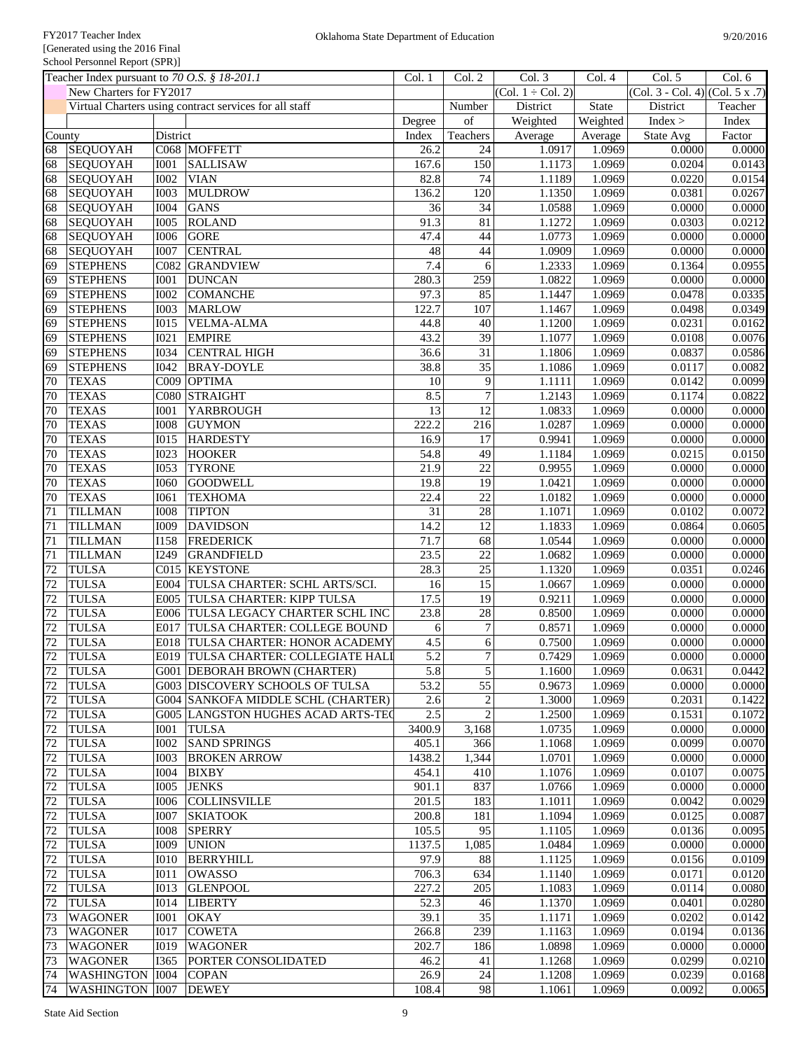|                 | . <b>T</b><br>Teacher Index pursuant to 70 O.S. § 18-201.1 |             |                                                        | Col. 1             | Col. 2           | Col. 3              | Col. 4   | Col. 5                              | Col. 6  |
|-----------------|------------------------------------------------------------|-------------|--------------------------------------------------------|--------------------|------------------|---------------------|----------|-------------------------------------|---------|
|                 | New Charters for FY2017                                    |             |                                                        |                    |                  | $(Col. 1 + Col. 2)$ |          | $(Col. 3 - Col. 4)$ $(Col. 5 x .7)$ |         |
|                 |                                                            |             | Virtual Charters using contract services for all staff |                    | Number           | District            | State    | District                            | Teacher |
|                 |                                                            |             |                                                        | Degree             | of               | Weighted            | Weighted | Index >                             | Index   |
| County          |                                                            | District    |                                                        | Index              | Teachers         | Average             | Average  | State Avg                           | Factor  |
| 68              | <b>SEQUOYAH</b>                                            |             | C068 MOFFETT                                           | 26.2               | 24               | 1.0917              | 1.0969   | 0.0000                              | 0.0000  |
| 68              | <b>SEQUOYAH</b>                                            | <b>I001</b> | <b>SALLISAW</b>                                        | 167.6              | 150              | 1.1173              | 1.0969   | 0.0204                              | 0.0143  |
| 68              | <b>SEQUOYAH</b>                                            | <b>I002</b> | VIAN                                                   | 82.8               | 74               | 1.1189              | 1.0969   | 0.0220                              | 0.0154  |
| 68              | <b>SEQUOYAH</b>                                            | <b>I003</b> | <b>MULDROW</b>                                         | 136.2              | 120              | 1.1350              | 1.0969   | 0.0381                              | 0.0267  |
| 68              | <b>SEQUOYAH</b>                                            | <b>I004</b> | <b>GANS</b>                                            | 36                 | 34               | 1.0588              | 1.0969   | 0.0000                              | 0.0000  |
| 68              | <b>SEQUOYAH</b>                                            | <b>I005</b> | <b>ROLAND</b>                                          | 91.3               | $81\,$           | 1.1272              | 1.0969   | 0.0303                              | 0.0212  |
| 68              | <b>SEQUOYAH</b>                                            | I006        | <b>GORE</b>                                            | 47.4               | 44               | 1.0773              | 1.0969   | 0.0000                              | 0.0000  |
| 68              | <b>SEQUOYAH</b>                                            | <b>I007</b> | <b>CENTRAL</b>                                         | 48                 | 44               | 1.0909              | 1.0969   | 0.0000                              | 0.0000  |
| 69              | <b>STEPHENS</b>                                            |             | C082 GRANDVIEW                                         | 7.4                | 6                | 1.2333              | 1.0969   | 0.1364                              | 0.0955  |
| 69              | <b>STEPHENS</b>                                            | <b>I001</b> | <b>DUNCAN</b>                                          | 280.3              | 259              | 1.0822              | 1.0969   | 0.0000                              | 0.0000  |
| 69              | <b>STEPHENS</b>                                            | <b>I002</b> | <b>COMANCHE</b>                                        | 97.3               | 85               | 1.1447              | 1.0969   | 0.0478                              | 0.0335  |
| 69              | <b>STEPHENS</b>                                            | <b>I003</b> | <b>MARLOW</b>                                          | 122.7              | 107              | 1.1467              | 1.0969   | 0.0498                              | 0.0349  |
| 69              | <b>STEPHENS</b>                                            | I015        | <b>VELMA-ALMA</b>                                      | 44.8               | 40               | 1.1200              | 1.0969   | 0.0231                              | 0.0162  |
| 69              | <b>STEPHENS</b>                                            | I021        | <b>EMPIRE</b>                                          | 43.2               | $\overline{39}$  | 1.1077              | 1.0969   | 0.0108                              | 0.0076  |
| 69              | <b>STEPHENS</b>                                            | <b>I034</b> | <b>CENTRAL HIGH</b>                                    | 36.6               | $\overline{31}$  | 1.1806              | 1.0969   | 0.0837                              | 0.0586  |
| 69              | <b>STEPHENS</b>                                            | I042        | <b>BRAY-DOYLE</b>                                      | 38.8               | $\overline{35}$  | 1.1086              | 1.0969   | 0.0117                              | 0.0082  |
| 70              | <b>TEXAS</b>                                               |             | C009 OPTIMA                                            | 10                 | $\overline{9}$   | 1.1111              | 1.0969   | 0.0142                              | 0.0099  |
| 70              | <b>TEXAS</b>                                               |             | C080 STRAIGHT                                          | 8.5                | $\boldsymbol{7}$ | 1.2143              | 1.0969   | 0.1174                              | 0.0822  |
| 70              | <b>TEXAS</b>                                               | <b>I001</b> | <b>YARBROUGH</b>                                       | 13                 | 12               | 1.0833              | 1.0969   | 0.0000                              | 0.0000  |
| 70              | <b>TEXAS</b>                                               | <b>I008</b> | <b>GUYMON</b>                                          | $\overline{222.2}$ | 216              | 1.0287              | 1.0969   | 0.0000                              | 0.0000  |
| 70              | <b>TEXAS</b>                                               | <b>I015</b> | <b>HARDESTY</b>                                        | 16.9               | 17               | 0.9941              | 1.0969   | 0.0000                              | 0.0000  |
| 70              | <b>TEXAS</b>                                               | <b>I023</b> | <b>HOOKER</b>                                          | 54.8               | 49               | 1.1184              | 1.0969   | 0.0215                              | 0.0150  |
| 70              | <b>TEXAS</b>                                               | <b>I053</b> | <b>TYRONE</b>                                          | 21.9               | $\overline{22}$  | 0.9955              | 1.0969   | 0.0000                              | 0.0000  |
| 70              | <b>TEXAS</b>                                               | <b>I060</b> | <b>GOODWELL</b>                                        | 19.8               | 19               | 1.0421              | 1.0969   | 0.0000                              | 0.0000  |
| 70              | <b>TEXAS</b>                                               | <b>I061</b> | <b>TEXHOMA</b>                                         | $\overline{22.4}$  | $\overline{22}$  | 1.0182              | 1.0969   | 0.0000                              | 0.0000  |
| 71              | <b>TILLMAN</b>                                             | <b>I008</b> | <b>TIPTON</b>                                          | 31                 | 28               | 1.1071              | 1.0969   | 0.0102                              | 0.0072  |
| 71              | <b>TILLMAN</b>                                             | I009        | <b>DAVIDSON</b>                                        | 14.2               | 12               | 1.1833              | 1.0969   | 0.0864                              | 0.0605  |
| 71              | <b>TILLMAN</b>                                             | <b>I158</b> | <b>FREDERICK</b>                                       | 71.7               | 68               | 1.0544              | 1.0969   | 0.0000                              | 0.0000  |
| 71              | <b>TILLMAN</b>                                             | <b>I249</b> | <b>GRANDFIELD</b>                                      | 23.5               | $\overline{22}$  | 1.0682              | 1.0969   | 0.0000                              | 0.0000  |
| 72              | <b>TULSA</b>                                               |             | C015 KEYSTONE                                          | 28.3               | $25\,$           | 1.1320              | 1.0969   | 0.0351                              | 0.0246  |
| $\overline{72}$ | <b>TULSA</b>                                               |             | E004 TULSA CHARTER: SCHL ARTS/SCI.                     | 16                 | $\overline{15}$  | 1.0667              | 1.0969   | 0.0000                              | 0.0000  |
| 72              | <b>TULSA</b>                                               |             | E005 TULSA CHARTER: KIPP TULSA                         | 17.5               | $\overline{19}$  | 0.9211              | 1.0969   | 0.0000                              | 0.0000  |
| 72              | <b>TULSA</b>                                               |             | E006 TULSA LEGACY CHARTER SCHL INC                     | 23.8               | $\overline{28}$  | 0.8500              | 1.0969   | 0.0000                              | 0.0000  |
| 72              | <b>TULSA</b>                                               |             | E017 TULSA CHARTER: COLLEGE BOUND                      | 6                  | $\overline{7}$   | 0.8571              | 1.0969   | 0.0000                              | 0.0000  |
| 72              | <b>TULSA</b>                                               |             | E018 TULSA CHARTER: HONOR ACADEMY                      | 4.5                | 6                | 0.7500              | 1.0969   | 0.0000                              | 0.0000  |
| 72              | <b>TULSA</b>                                               |             | E019 TULSA CHARTER: COLLEGIATE HALI                    | 5.2                | $\overline{7}$   | 0.7429              | 1.0969   | 0.0000                              | 0.0000  |
| 72              | <b>TULSA</b>                                               |             | <b>G001 DEBORAH BROWN (CHARTER)</b>                    | 5.8                | 5                | 1.1600              | 1.0969   | 0.0631                              | 0.0442  |
| 72              | <b>TULSA</b>                                               |             | G003 DISCOVERY SCHOOLS OF TULSA                        | 53.2               | 55               | 0.9673              | 1.0969   | 0.0000                              | 0.0000  |
| 72              | <b>TULSA</b>                                               |             | G004 SANKOFA MIDDLE SCHL (CHARTER)                     | 2.6                | $\overline{c}$   | 1.3000              | 1.0969   | 0.2031                              | 0.1422  |
| 72              | <b>TULSA</b>                                               |             | G005 LANGSTON HUGHES ACAD ARTS-TEC                     | 2.5                | $\overline{2}$   | 1.2500              | 1.0969   | 0.1531                              | 0.1072  |
| 72              | <b>TULSA</b>                                               | <b>I001</b> | <b>TULSA</b>                                           | 3400.9             | 3,168            | 1.0735              | 1.0969   | 0.0000                              | 0.0000  |
| $72\,$          | <b>TULSA</b>                                               | <b>I002</b> | <b>SAND SPRINGS</b>                                    | 405.1              | 366              | 1.1068              | 1.0969   | 0.0099                              | 0.0070  |
| 72              | <b>TULSA</b>                                               | <b>I003</b> | <b>BROKEN ARROW</b>                                    | 1438.2             | 1,344            | 1.0701              | 1.0969   | 0.0000                              | 0.0000  |
| 72              | <b>TULSA</b>                                               | <b>I004</b> | <b>BIXBY</b>                                           | 454.1              | 410              | 1.1076              | 1.0969   | 0.0107                              | 0.0075  |
| 72              | <b>TULSA</b>                                               | <b>I005</b> | <b>JENKS</b>                                           | 901.1              | 837              | 1.0766              | 1.0969   | 0.0000                              | 0.0000  |
| 72              | <b>TULSA</b>                                               | <b>I006</b> | <b>COLLINSVILLE</b>                                    | 201.5              | 183              | 1.1011              | 1.0969   | 0.0042                              | 0.0029  |
| 72              | <b>TULSA</b>                                               | <b>I007</b> | <b>SKIATOOK</b>                                        | 200.8              | 181              | 1.1094              | 1.0969   | 0.0125                              | 0.0087  |
| 72              | <b>TULSA</b>                                               | <b>IOO8</b> | <b>SPERRY</b>                                          | 105.5              | 95               | 1.1105              | 1.0969   | 0.0136                              | 0.0095  |
| 72              | <b>TULSA</b>                                               | <b>I009</b> | <b>UNION</b>                                           | 1137.5             | 1,085            | 1.0484              | 1.0969   | 0.0000                              | 0.0000  |
| 72              | <b>TULSA</b>                                               | <b>I010</b> | <b>BERRYHILL</b>                                       | 97.9               | 88               | 1.1125              | 1.0969   | 0.0156                              | 0.0109  |
| 72              | <b>TULSA</b>                                               | I011        | <b>OWASSO</b>                                          | 706.3              | 634              | 1.1140              | 1.0969   | 0.0171                              | 0.0120  |
| 72              | <b>TULSA</b>                                               | <b>I013</b> | <b>GLENPOOL</b>                                        | 227.2              | 205              | 1.1083              | 1.0969   | 0.0114                              | 0.0080  |
| 72              | <b>TULSA</b>                                               | I014        | <b>LIBERTY</b>                                         | 52.3               | 46               | 1.1370              | 1.0969   | 0.0401                              | 0.0280  |
| 73              | <b>WAGONER</b>                                             | I001        | <b>OKAY</b>                                            | 39.1               | $\overline{35}$  | 1.1171              | 1.0969   | 0.0202                              | 0.0142  |
| 73              | <b>WAGONER</b>                                             | <b>I017</b> | <b>COWETA</b>                                          | 266.8              | 239              | 1.1163              | 1.0969   | 0.0194                              | 0.0136  |
| 73              | <b>WAGONER</b>                                             | <b>I019</b> | <b>WAGONER</b>                                         | 202.7              | 186              | 1.0898              | 1.0969   | 0.0000                              | 0.0000  |
| 73              | <b>WAGONER</b>                                             | I365        | PORTER CONSOLIDATED                                    | 46.2               | 41               | 1.1268              | 1.0969   | 0.0299                              | 0.0210  |
| 74              | <b>WASHINGTON</b>                                          | <b>I004</b> | <b>COPAN</b>                                           | 26.9               | 24               | 1.1208              | 1.0969   | 0.0239                              | 0.0168  |
| 74              | WASHINGTON 1007                                            |             | <b>DEWEY</b>                                           | 108.4              | 98               | 1.1061              | 1.0969   | 0.0092                              | 0.0065  |